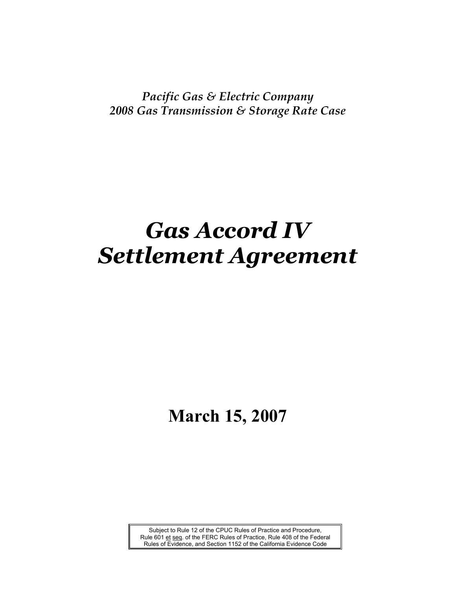*Pacific Gas & Electric Company 2008 Gas Transmission & Storage Rate Case*

# *Gas Accord IV Settlement Agreement*

## **March 15, 2007**

Subject to Rule 12 of the CPUC Rules of Practice and Procedure, Rule 601 et seq. of the FERC Rules of Practice, Rule 408 of the Federal Rules of Evidence, and Section 1152 of the California Evidence Code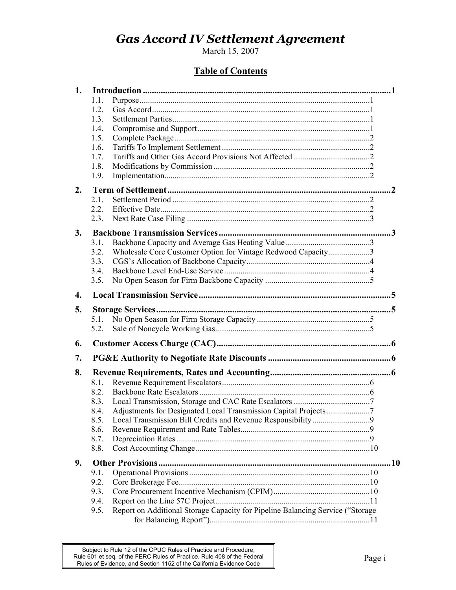March 15, 2007

### **Table of Contents**

| 1.           |                                                                                        |           |
|--------------|----------------------------------------------------------------------------------------|-----------|
|              | 1.1.                                                                                   |           |
|              | 1.2.                                                                                   |           |
|              | 1.3.                                                                                   |           |
|              | 1.4.                                                                                   |           |
|              | 1.5.                                                                                   |           |
|              | 1.6.                                                                                   |           |
|              | 1.7.                                                                                   |           |
|              | 1.8.                                                                                   |           |
|              | 1.9.                                                                                   |           |
| 2.           |                                                                                        | $\cdot$ 2 |
|              | 2.1.                                                                                   |           |
|              | 2.2.                                                                                   |           |
|              | 2.3.                                                                                   |           |
| 3.           |                                                                                        |           |
|              | 3.1.                                                                                   |           |
|              | 3.2.<br>Wholesale Core Customer Option for Vintage Redwood Capacity3                   |           |
|              | 3.3.                                                                                   |           |
|              | 3.4.                                                                                   |           |
|              | 3.5.                                                                                   |           |
|              |                                                                                        |           |
| $\mathbf{4}$ |                                                                                        |           |
| 5.           |                                                                                        |           |
|              | 5.1.                                                                                   |           |
|              | 5.2.                                                                                   |           |
| 6.           |                                                                                        |           |
| 7.           |                                                                                        |           |
| 8.           |                                                                                        |           |
|              | 8.1.                                                                                   |           |
|              | 8.2.                                                                                   |           |
|              | 8.3.                                                                                   |           |
|              | Adjustments for Designated Local Transmission Capital Projects 7<br>8.4.               |           |
|              | 8.5.                                                                                   |           |
|              | 8.6.                                                                                   |           |
|              | 8.7.                                                                                   |           |
|              | 8.8.                                                                                   |           |
| 9.           |                                                                                        |           |
|              | 9.1.                                                                                   |           |
|              | 9.2.                                                                                   |           |
|              | 9.3.                                                                                   |           |
|              | 9.4.                                                                                   |           |
|              | Report on Additional Storage Capacity for Pipeline Balancing Service ("Storage<br>9.5. |           |
|              |                                                                                        |           |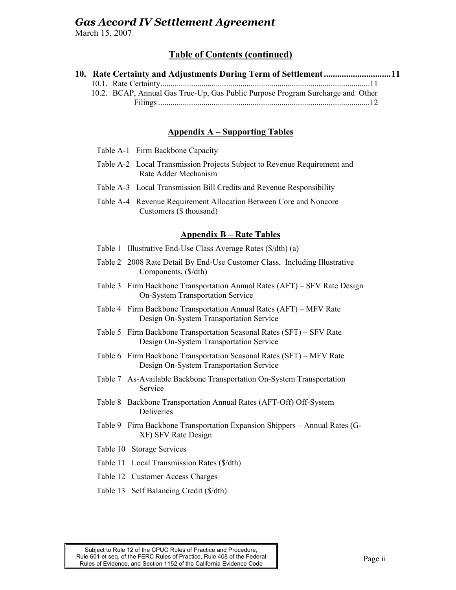March 15, 2007

### **Table of Contents (continued)**

| 10. Rate Certainty and Adjustments During Term of Settlement11                 |  |
|--------------------------------------------------------------------------------|--|
|                                                                                |  |
| 10.2. BCAP, Annual Gas True-Up, Gas Public Purpose Program Surcharge and Other |  |
|                                                                                |  |

### **Appendix A – Supporting Tables**

- Table A-1 Firm Backbone Capacity
- Table A-2 Local Transmission Projects Subject to Revenue Requirement and Rate Adder Mechanism
- Table A-3 Local Transmission Bill Credits and Revenue Responsibility
- Table A-4 Revenue Requirement Allocation Between Core and Noncore Customers (\$ thousand)

### **Appendix B – Rate Tables**

- Table 1 Illustrative End-Use Class Average Rates (\$/dth) (a)
- Table 2 2008 Rate Detail By End-Use Customer Class, Including Illustrative Components, (\$/dth)
- Table 3 Firm Backbone Transportation Annual Rates (AFT) SFV Rate Design On-System Transportation Service
- Table 4 Firm Backbone Transportation Annual Rates (AFT) MFV Rate Design On-System Transportation Service
- Table 5 Firm Backbone Transportation Seasonal Rates (SFT) SFV Rate Design On-System Transportation Service
- Table 6 Firm Backbone Transportation Seasonal Rates (SFT) MFV Rate Design On-System Transportation Service
- Table 7 As-Available Backbone Transportation On-System Transportation Service
- Table 8 Backbone Transportation Annual Rates (AFT-Off) Off-System Deliveries
- Table 9 Firm Backbone Transportation Expansion Shippers Annual Rates (G-XF) SFV Rate Design
- Table 10 Storage Services
- Table 11 Local Transmission Rates (\$/dth)
- Table 12 Customer Access Charges
- Table 13 Self Balancing Credit (\$/dth)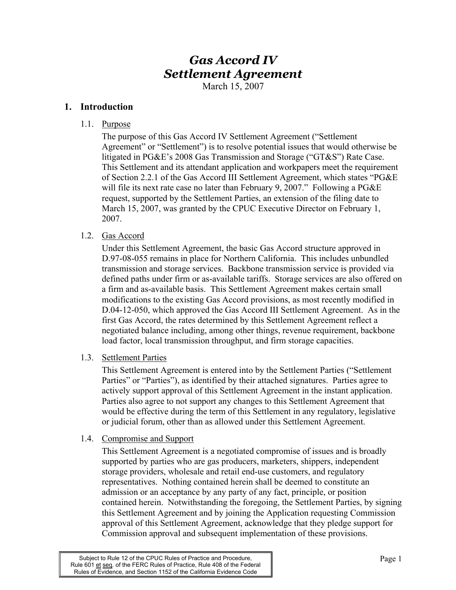March 15, 2007

### **1. Introduction**

1.1. Purpose

The purpose of this Gas Accord IV Settlement Agreement ("Settlement Agreement" or "Settlement") is to resolve potential issues that would otherwise be litigated in PG&E's 2008 Gas Transmission and Storage ("GT&S") Rate Case. This Settlement and its attendant application and workpapers meet the requirement of Section 2.2.1 of the Gas Accord III Settlement Agreement, which states "PG&E will file its next rate case no later than February 9, 2007." Following a PG&E request, supported by the Settlement Parties, an extension of the filing date to March 15, 2007, was granted by the CPUC Executive Director on February 1, 2007.

### 1.2. Gas Accord

Under this Settlement Agreement, the basic Gas Accord structure approved in D.97-08-055 remains in place for Northern California. This includes unbundled transmission and storage services. Backbone transmission service is provided via defined paths under firm or as-available tariffs. Storage services are also offered on a firm and as-available basis. This Settlement Agreement makes certain small modifications to the existing Gas Accord provisions, as most recently modified in D.04-12-050, which approved the Gas Accord III Settlement Agreement. As in the first Gas Accord, the rates determined by this Settlement Agreement reflect a negotiated balance including, among other things, revenue requirement, backbone load factor, local transmission throughput, and firm storage capacities.

1.3. Settlement Parties

This Settlement Agreement is entered into by the Settlement Parties ("Settlement Parties" or "Parties"), as identified by their attached signatures. Parties agree to actively support approval of this Settlement Agreement in the instant application. Parties also agree to not support any changes to this Settlement Agreement that would be effective during the term of this Settlement in any regulatory, legislative or judicial forum, other than as allowed under this Settlement Agreement.

### 1.4. Compromise and Support

This Settlement Agreement is a negotiated compromise of issues and is broadly supported by parties who are gas producers, marketers, shippers, independent storage providers, wholesale and retail end-use customers, and regulatory representatives. Nothing contained herein shall be deemed to constitute an admission or an acceptance by any party of any fact, principle, or position contained herein. Notwithstanding the foregoing, the Settlement Parties, by signing this Settlement Agreement and by joining the Application requesting Commission approval of this Settlement Agreement, acknowledge that they pledge support for Commission approval and subsequent implementation of these provisions.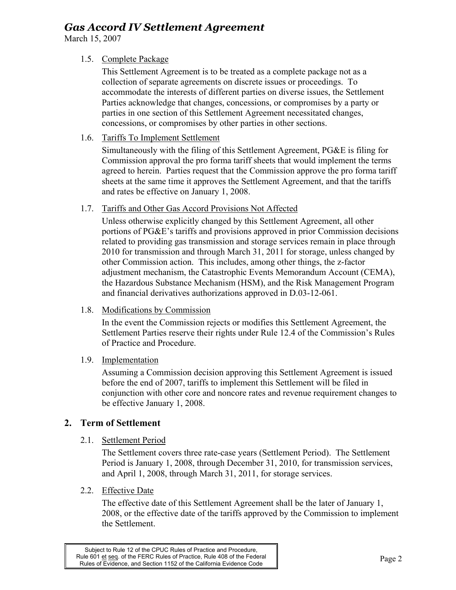March 15, 2007

### 1.5. Complete Package

This Settlement Agreement is to be treated as a complete package not as a collection of separate agreements on discrete issues or proceedings. To accommodate the interests of different parties on diverse issues, the Settlement Parties acknowledge that changes, concessions, or compromises by a party or parties in one section of this Settlement Agreement necessitated changes, concessions, or compromises by other parties in other sections.

1.6. Tariffs To Implement Settlement

Simultaneously with the filing of this Settlement Agreement, PG&E is filing for Commission approval the pro forma tariff sheets that would implement the terms agreed to herein. Parties request that the Commission approve the pro forma tariff sheets at the same time it approves the Settlement Agreement, and that the tariffs and rates be effective on January 1, 2008.

1.7. Tariffs and Other Gas Accord Provisions Not Affected

Unless otherwise explicitly changed by this Settlement Agreement, all other portions of PG&E's tariffs and provisions approved in prior Commission decisions related to providing gas transmission and storage services remain in place through 2010 for transmission and through March 31, 2011 for storage, unless changed by other Commission action. This includes, among other things, the z-factor adjustment mechanism, the Catastrophic Events Memorandum Account (CEMA), the Hazardous Substance Mechanism (HSM), and the Risk Management Program and financial derivatives authorizations approved in D.03-12-061.

### 1.8. Modifications by Commission

In the event the Commission rejects or modifies this Settlement Agreement, the Settlement Parties reserve their rights under Rule 12.4 of the Commission's Rules of Practice and Procedure.

### 1.9. Implementation

Assuming a Commission decision approving this Settlement Agreement is issued before the end of 2007, tariffs to implement this Settlement will be filed in conjunction with other core and noncore rates and revenue requirement changes to be effective January 1, 2008.

### **2. Term of Settlement**

### 2.1. Settlement Period

The Settlement covers three rate-case years (Settlement Period). The Settlement Period is January 1, 2008, through December 31, 2010, for transmission services, and April 1, 2008, through March 31, 2011, for storage services.

### 2.2. Effective Date

The effective date of this Settlement Agreement shall be the later of January 1, 2008, or the effective date of the tariffs approved by the Commission to implement the Settlement.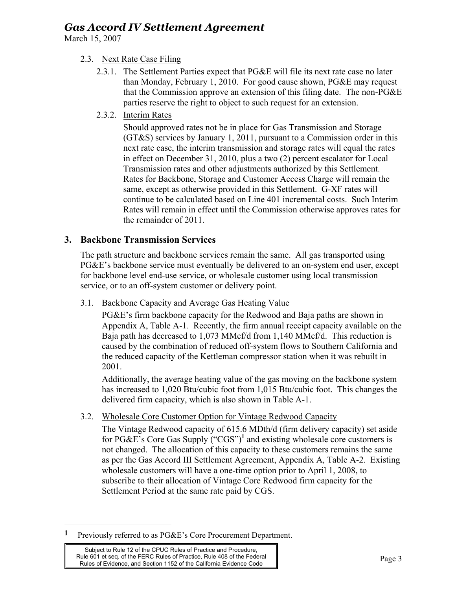March 15, 2007

### 2.3. Next Rate Case Filing

- 2.3.1. The Settlement Parties expect that PG&E will file its next rate case no later than Monday, February 1, 2010. For good cause shown, PG&E may request that the Commission approve an extension of this filing date. The non-PG&E parties reserve the right to object to such request for an extension.
- 2.3.2. Interim Rates

Should approved rates not be in place for Gas Transmission and Storage (GT&S) services by January 1, 2011, pursuant to a Commission order in this next rate case, the interim transmission and storage rates will equal the rates in effect on December 31, 2010, plus a two (2) percent escalator for Local Transmission rates and other adjustments authorized by this Settlement. Rates for Backbone, Storage and Customer Access Charge will remain the same, except as otherwise provided in this Settlement. G-XF rates will continue to be calculated based on Line 401 incremental costs. Such Interim Rates will remain in effect until the Commission otherwise approves rates for the remainder of 2011.

### **3. Backbone Transmission Services**

The path structure and backbone services remain the same. All gas transported using PG&E's backbone service must eventually be delivered to an on-system end user, except for backbone level end-use service, or wholesale customer using local transmission service, or to an off-system customer or delivery point.

3.1. Backbone Capacity and Average Gas Heating Value

PG&E's firm backbone capacity for the Redwood and Baja paths are shown in Appendix A, Table A-1. Recently, the firm annual receipt capacity available on the Baja path has decreased to 1,073 MMcf/d from 1,140 MMcf/d. This reduction is caused by the combination of reduced off-system flows to Southern California and the reduced capacity of the Kettleman compressor station when it was rebuilt in 2001.

Additionally, the average heating value of the gas moving on the backbone system has increased to 1,020 Btu/cubic foot from 1,015 Btu/cubic foot. This changes the delivered firm capacity, which is also shown in Table A-1.

3.2. Wholesale Core Customer Option for Vintage Redwood Capacity

The Vintage Redwood capacity of 615.6 MDth/d (firm delivery capacity) set aside for PG&E's Core Gas Supply ("CGS")**<sup>1</sup>** and existing wholesale core customers is not changed. The allocation of this capacity to these customers remains the same as per the Gas Accord III Settlement Agreement, Appendix A, Table A-2. Existing wholesale customers will have a one-time option prior to April 1, 2008, to subscribe to their allocation of Vintage Core Redwood firm capacity for the Settlement Period at the same rate paid by CGS.

 $\overline{a}$ 

**<sup>1</sup>** Previously referred to as PG&E's Core Procurement Department.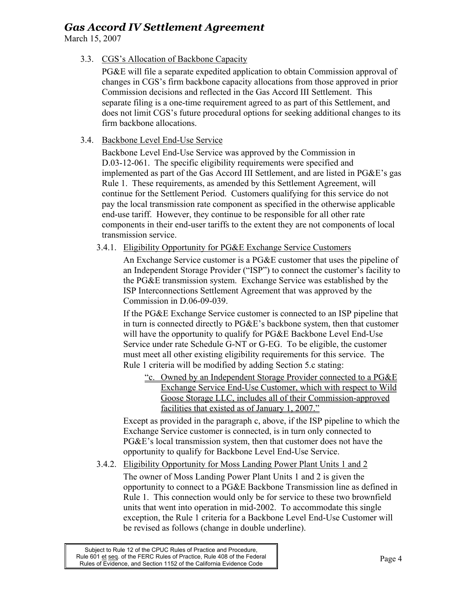March 15, 2007

3.3. CGS's Allocation of Backbone Capacity

PG&E will file a separate expedited application to obtain Commission approval of changes in CGS's firm backbone capacity allocations from those approved in prior Commission decisions and reflected in the Gas Accord III Settlement. This separate filing is a one-time requirement agreed to as part of this Settlement, and does not limit CGS's future procedural options for seeking additional changes to its firm backbone allocations.

### 3.4. Backbone Level End-Use Service

Backbone Level End-Use Service was approved by the Commission in D.03-12-061. The specific eligibility requirements were specified and implemented as part of the Gas Accord III Settlement, and are listed in PG&E's gas Rule 1. These requirements, as amended by this Settlement Agreement, will continue for the Settlement Period. Customers qualifying for this service do not pay the local transmission rate component as specified in the otherwise applicable end-use tariff. However, they continue to be responsible for all other rate components in their end-user tariffs to the extent they are not components of local transmission service.

### 3.4.1. Eligibility Opportunity for PG&E Exchange Service Customers

An Exchange Service customer is a PG&E customer that uses the pipeline of an Independent Storage Provider ("ISP") to connect the customer's facility to the PG&E transmission system. Exchange Service was established by the ISP Interconnections Settlement Agreement that was approved by the Commission in D.06-09-039.

If the PG&E Exchange Service customer is connected to an ISP pipeline that in turn is connected directly to PG&E's backbone system, then that customer will have the opportunity to qualify for PG&E Backbone Level End-Use Service under rate Schedule G-NT or G-EG. To be eligible, the customer must meet all other existing eligibility requirements for this service. The Rule 1 criteria will be modified by adding Section 5.c stating:

"c. Owned by an Independent Storage Provider connected to a PG&E Exchange Service End-Use Customer, which with respect to Wild Goose Storage LLC, includes all of their Commission-approved facilities that existed as of January 1, 2007."

Except as provided in the paragraph c, above, if the ISP pipeline to which the Exchange Service customer is connected, is in turn only connected to PG&E's local transmission system, then that customer does not have the opportunity to qualify for Backbone Level End-Use Service.

### 3.4.2. Eligibility Opportunity for Moss Landing Power Plant Units 1 and 2

The owner of Moss Landing Power Plant Units 1 and 2 is given the opportunity to connect to a PG&E Backbone Transmission line as defined in Rule 1. This connection would only be for service to these two brownfield units that went into operation in mid-2002. To accommodate this single exception, the Rule 1 criteria for a Backbone Level End-Use Customer will be revised as follows (change in double underline).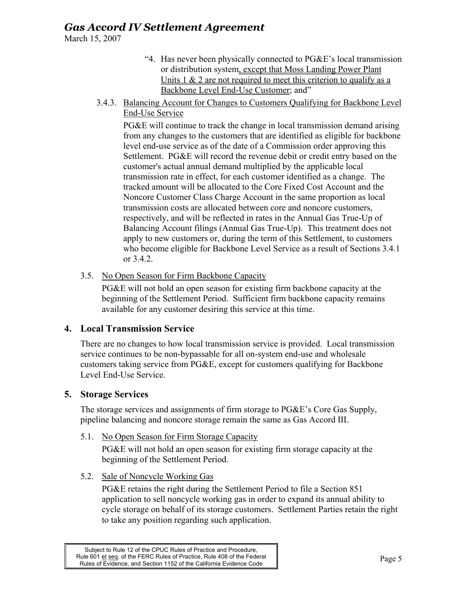March 15, 2007

- "4. Has never been physically connected to PG&E's local transmission or distribution system, except that Moss Landing Power Plant Units  $1 \& 2$  are not required to meet this criterion to qualify as a Backbone Level End-Use Customer; and"
- 3.4.3. Balancing Account for Changes to Customers Qualifying for Backbone Level End-Use Service

PG&E will continue to track the change in local transmission demand arising from any changes to the customers that are identified as eligible for backbone level end-use service as of the date of a Commission order approving this Settlement. PG&E will record the revenue debit or credit entry based on the customer's actual annual demand multiplied by the applicable local transmission rate in effect, for each customer identified as a change. The tracked amount will be allocated to the Core Fixed Cost Account and the Noncore Customer Class Charge Account in the same proportion as local transmission costs are allocated between core and noncore customers, respectively, and will be reflected in rates in the Annual Gas True-Up of Balancing Account filings (Annual Gas True-Up). This treatment does not apply to new customers or, during the term of this Settlement, to customers who become eligible for Backbone Level Service as a result of Sections 3.4.1 or 3.4.2.

3.5. No Open Season for Firm Backbone Capacity

PG&E will not hold an open season for existing firm backbone capacity at the beginning of the Settlement Period. Sufficient firm backbone capacity remains available for any customer desiring this service at this time.

### **4. Local Transmission Service**

There are no changes to how local transmission service is provided. Local transmission service continues to be non-bypassable for all on-system end-use and wholesale customers taking service from PG&E, except for customers qualifying for Backbone Level End-Use Service.

## **5. Storage Services**

The storage services and assignments of firm storage to PG&E's Core Gas Supply, pipeline balancing and noncore storage remain the same as Gas Accord III.

5.1. No Open Season for Firm Storage Capacity

PG&E will not hold an open season for existing firm storage capacity at the beginning of the Settlement Period.

5.2. Sale of Noncycle Working Gas

PG&E retains the right during the Settlement Period to file a Section 851 application to sell noncycle working gas in order to expand its annual ability to cycle storage on behalf of its storage customers. Settlement Parties retain the right to take any position regarding such application.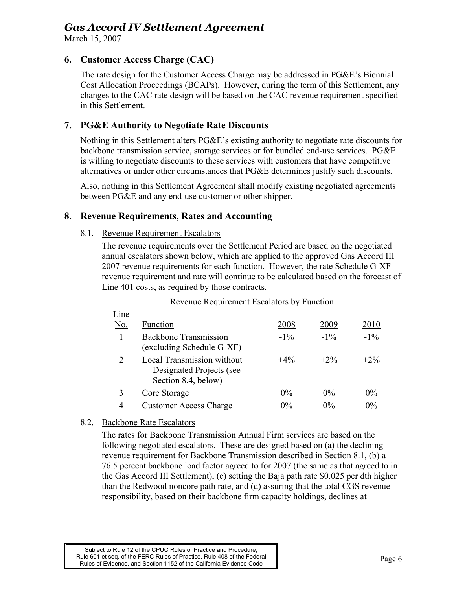March 15, 2007

### **6. Customer Access Charge (CAC)**

The rate design for the Customer Access Charge may be addressed in PG&E's Biennial Cost Allocation Proceedings (BCAPs). However, during the term of this Settlement, any changes to the CAC rate design will be based on the CAC revenue requirement specified in this Settlement.

### **7. PG&E Authority to Negotiate Rate Discounts**

Nothing in this Settlement alters PG&E's existing authority to negotiate rate discounts for backbone transmission service, storage services or for bundled end-use services. PG&E is willing to negotiate discounts to these services with customers that have competitive alternatives or under other circumstances that PG&E determines justify such discounts.

Also, nothing in this Settlement Agreement shall modify existing negotiated agreements between PG&E and any end-use customer or other shipper.

### **8. Revenue Requirements, Rates and Accounting**

### 8.1. Revenue Requirement Escalators

The revenue requirements over the Settlement Period are based on the negotiated annual escalators shown below, which are applied to the approved Gas Accord III 2007 revenue requirements for each function. However, the rate Schedule G-XF revenue requirement and rate will continue to be calculated based on the forecast of Line 401 costs, as required by those contracts.

### Revenue Requirement Escalators by Function

| Line |                                                                               |        |        |        |
|------|-------------------------------------------------------------------------------|--------|--------|--------|
| No.  | Function                                                                      | 2008   | 2009   | 2010   |
|      | <b>Backbone Transmission</b><br>(excluding Schedule G-XF)                     | $-1\%$ | $-1\%$ | $-1\%$ |
| 2    | Local Transmission without<br>Designated Projects (see<br>Section 8.4, below) | $+4\%$ | $+2\%$ | $+2\%$ |
|      | Core Storage                                                                  | $0\%$  | $0\%$  | $0\%$  |
| 4    | <b>Customer Access Charge</b>                                                 | $0\%$  | $0\%$  | $0\%$  |

### 8.2. Backbone Rate Escalators

The rates for Backbone Transmission Annual Firm services are based on the following negotiated escalators. These are designed based on (a) the declining revenue requirement for Backbone Transmission described in Section 8.1, (b) a 76.5 percent backbone load factor agreed to for 2007 (the same as that agreed to in the Gas Accord III Settlement), (c) setting the Baja path rate \$0.025 per dth higher than the Redwood noncore path rate, and (d) assuring that the total CGS revenue responsibility, based on their backbone firm capacity holdings, declines at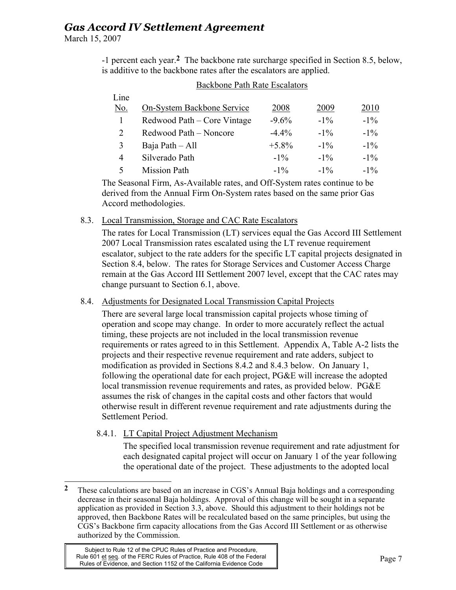March 15, 2007

-1 percent each year.**2** The backbone rate surcharge specified in Section 8.5, below, is additive to the backbone rates after the escalators are applied.

| Line |                             |          |        |        |
|------|-----------------------------|----------|--------|--------|
| No.  | On-System Backbone Service  | 2008     | 2009   | 2010   |
|      | Redwood Path – Core Vintage | $-9.6%$  | $-1\%$ | $-1\%$ |
| 2    | Redwood Path – Noncore      | $-4.4\%$ | $-1\%$ | $-1\%$ |
| 3    | Baja Path - All             | $+5.8\%$ | $-1\%$ | $-1\%$ |
| 4    | Silverado Path              | $-1\%$   | $-1\%$ | $-1\%$ |
| 5    | <b>Mission Path</b>         | $-1\%$   | $-1\%$ | $-1\%$ |

### Backbone Path Rate Escalators

The Seasonal Firm, As-Available rates, and Off-System rates continue to be derived from the Annual Firm On-System rates based on the same prior Gas Accord methodologies.

### 8.3. Local Transmission, Storage and CAC Rate Escalators

The rates for Local Transmission (LT) services equal the Gas Accord III Settlement 2007 Local Transmission rates escalated using the LT revenue requirement escalator, subject to the rate adders for the specific LT capital projects designated in Section 8.4, below. The rates for Storage Services and Customer Access Charge remain at the Gas Accord III Settlement 2007 level, except that the CAC rates may change pursuant to Section 6.1, above.

### 8.4. Adjustments for Designated Local Transmission Capital Projects

There are several large local transmission capital projects whose timing of operation and scope may change. In order to more accurately reflect the actual timing, these projects are not included in the local transmission revenue requirements or rates agreed to in this Settlement. Appendix A, Table A-2 lists the projects and their respective revenue requirement and rate adders, subject to modification as provided in Sections 8.4.2 and 8.4.3 below. On January 1, following the operational date for each project, PG&E will increase the adopted local transmission revenue requirements and rates, as provided below. PG&E assumes the risk of changes in the capital costs and other factors that would otherwise result in different revenue requirement and rate adjustments during the Settlement Period.

### 8.4.1. LT Capital Project Adjustment Mechanism

The specified local transmission revenue requirement and rate adjustment for each designated capital project will occur on January 1 of the year following the operational date of the project. These adjustments to the adopted local

 $\overline{2}$ **2** These calculations are based on an increase in CGS's Annual Baja holdings and a corresponding decrease in their seasonal Baja holdings. Approval of this change will be sought in a separate application as provided in Section 3.3, above. Should this adjustment to their holdings not be approved, then Backbone Rates will be recalculated based on the same principles, but using the CGS's Backbone firm capacity allocations from the Gas Accord III Settlement or as otherwise authorized by the Commission.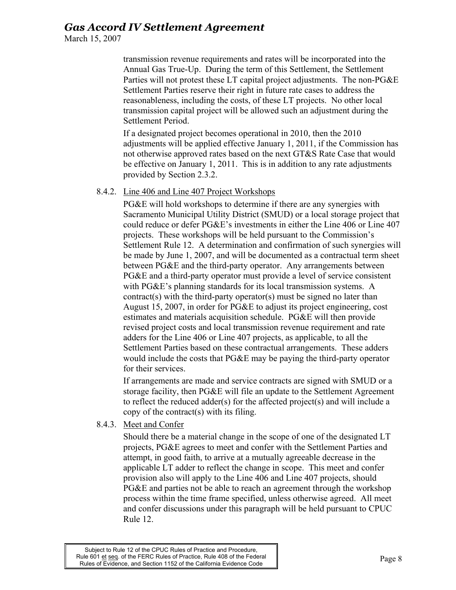March 15, 2007

transmission revenue requirements and rates will be incorporated into the Annual Gas True-Up. During the term of this Settlement, the Settlement Parties will not protest these LT capital project adjustments. The non-PG&E Settlement Parties reserve their right in future rate cases to address the reasonableness, including the costs, of these LT projects. No other local transmission capital project will be allowed such an adjustment during the Settlement Period.

If a designated project becomes operational in 2010, then the 2010 adjustments will be applied effective January 1, 2011, if the Commission has not otherwise approved rates based on the next GT&S Rate Case that would be effective on January 1, 2011. This is in addition to any rate adjustments provided by Section 2.3.2.

### 8.4.2. Line 406 and Line 407 Project Workshops

PG&E will hold workshops to determine if there are any synergies with Sacramento Municipal Utility District (SMUD) or a local storage project that could reduce or defer PG&E's investments in either the Line 406 or Line 407 projects. These workshops will be held pursuant to the Commission's Settlement Rule 12. A determination and confirmation of such synergies will be made by June 1, 2007, and will be documented as a contractual term sheet between PG&E and the third-party operator. Any arrangements between PG&E and a third-party operator must provide a level of service consistent with PG&E's planning standards for its local transmission systems. A contract(s) with the third-party operator(s) must be signed no later than August 15, 2007, in order for PG&E to adjust its project engineering, cost estimates and materials acquisition schedule. PG&E will then provide revised project costs and local transmission revenue requirement and rate adders for the Line 406 or Line 407 projects, as applicable, to all the Settlement Parties based on these contractual arrangements. These adders would include the costs that PG&E may be paying the third-party operator for their services.

If arrangements are made and service contracts are signed with SMUD or a storage facility, then PG&E will file an update to the Settlement Agreement to reflect the reduced adder(s) for the affected project(s) and will include a copy of the contract(s) with its filing.

8.4.3. Meet and Confer

Should there be a material change in the scope of one of the designated LT projects, PG&E agrees to meet and confer with the Settlement Parties and attempt, in good faith, to arrive at a mutually agreeable decrease in the applicable LT adder to reflect the change in scope. This meet and confer provision also will apply to the Line 406 and Line 407 projects, should PG&E and parties not be able to reach an agreement through the workshop process within the time frame specified, unless otherwise agreed. All meet and confer discussions under this paragraph will be held pursuant to CPUC Rule 12.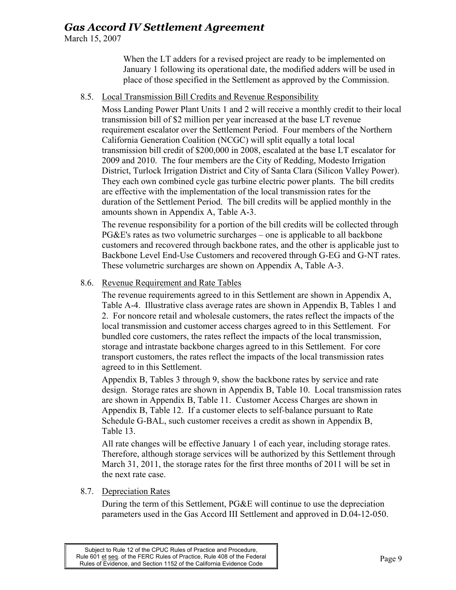March 15, 2007

When the LT adders for a revised project are ready to be implemented on January 1 following its operational date, the modified adders will be used in place of those specified in the Settlement as approved by the Commission.

### 8.5. Local Transmission Bill Credits and Revenue Responsibility

Moss Landing Power Plant Units 1 and 2 will receive a monthly credit to their local transmission bill of \$2 million per year increased at the base LT revenue requirement escalator over the Settlement Period. Four members of the Northern California Generation Coalition (NCGC) will split equally a total local transmission bill credit of \$200,000 in 2008, escalated at the base LT escalator for 2009 and 2010. The four members are the City of Redding, Modesto Irrigation District, Turlock Irrigation District and City of Santa Clara (Silicon Valley Power). They each own combined cycle gas turbine electric power plants. The bill credits are effective with the implementation of the local transmission rates for the duration of the Settlement Period. The bill credits will be applied monthly in the amounts shown in Appendix A, Table A-3.

The revenue responsibility for a portion of the bill credits will be collected through PG&E's rates as two volumetric surcharges – one is applicable to all backbone customers and recovered through backbone rates, and the other is applicable just to Backbone Level End-Use Customers and recovered through G-EG and G-NT rates. These volumetric surcharges are shown on Appendix A, Table A-3.

### 8.6. Revenue Requirement and Rate Tables

The revenue requirements agreed to in this Settlement are shown in Appendix A, Table A-4. Illustrative class average rates are shown in Appendix B, Tables 1 and 2. For noncore retail and wholesale customers, the rates reflect the impacts of the local transmission and customer access charges agreed to in this Settlement. For bundled core customers, the rates reflect the impacts of the local transmission, storage and intrastate backbone charges agreed to in this Settlement. For core transport customers, the rates reflect the impacts of the local transmission rates agreed to in this Settlement.

Appendix B, Tables 3 through 9, show the backbone rates by service and rate design. Storage rates are shown in Appendix B, Table 10. Local transmission rates are shown in Appendix B, Table 11. Customer Access Charges are shown in Appendix B, Table 12. If a customer elects to self-balance pursuant to Rate Schedule G-BAL, such customer receives a credit as shown in Appendix B, Table 13.

All rate changes will be effective January 1 of each year, including storage rates. Therefore, although storage services will be authorized by this Settlement through March 31, 2011, the storage rates for the first three months of 2011 will be set in the next rate case.

### 8.7. Depreciation Rates

During the term of this Settlement, PG&E will continue to use the depreciation parameters used in the Gas Accord III Settlement and approved in D.04-12-050.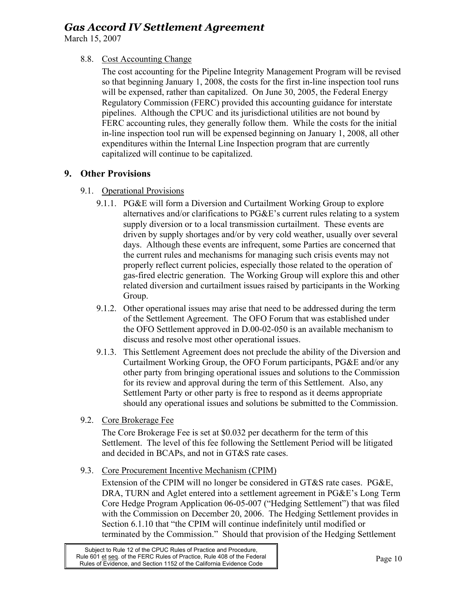March 15, 2007

### 8.8. Cost Accounting Change

The cost accounting for the Pipeline Integrity Management Program will be revised so that beginning January 1, 2008, the costs for the first in-line inspection tool runs will be expensed, rather than capitalized. On June 30, 2005, the Federal Energy Regulatory Commission (FERC) provided this accounting guidance for interstate pipelines. Although the CPUC and its jurisdictional utilities are not bound by FERC accounting rules, they generally follow them. While the costs for the initial in-line inspection tool run will be expensed beginning on January 1, 2008, all other expenditures within the Internal Line Inspection program that are currently capitalized will continue to be capitalized.

## **9. Other Provisions**

### 9.1. Operational Provisions

- 9.1.1. PG&E will form a Diversion and Curtailment Working Group to explore alternatives and/or clarifications to PG&E's current rules relating to a system supply diversion or to a local transmission curtailment. These events are driven by supply shortages and/or by very cold weather, usually over several days. Although these events are infrequent, some Parties are concerned that the current rules and mechanisms for managing such crisis events may not properly reflect current policies, especially those related to the operation of gas-fired electric generation. The Working Group will explore this and other related diversion and curtailment issues raised by participants in the Working Group.
- 9.1.2. Other operational issues may arise that need to be addressed during the term of the Settlement Agreement. The OFO Forum that was established under the OFO Settlement approved in D.00-02-050 is an available mechanism to discuss and resolve most other operational issues.
- 9.1.3. This Settlement Agreement does not preclude the ability of the Diversion and Curtailment Working Group, the OFO Forum participants, PG&E and/or any other party from bringing operational issues and solutions to the Commission for its review and approval during the term of this Settlement. Also, any Settlement Party or other party is free to respond as it deems appropriate should any operational issues and solutions be submitted to the Commission.
- 9.2. Core Brokerage Fee

The Core Brokerage Fee is set at \$0.032 per decatherm for the term of this Settlement. The level of this fee following the Settlement Period will be litigated and decided in BCAPs, and not in GT&S rate cases.

9.3. Core Procurement Incentive Mechanism (CPIM)

Extension of the CPIM will no longer be considered in GT&S rate cases. PG&E, DRA, TURN and Aglet entered into a settlement agreement in PG&E's Long Term Core Hedge Program Application 06-05-007 ("Hedging Settlement") that was filed with the Commission on December 20, 2006. The Hedging Settlement provides in Section 6.1.10 that "the CPIM will continue indefinitely until modified or terminated by the Commission." Should that provision of the Hedging Settlement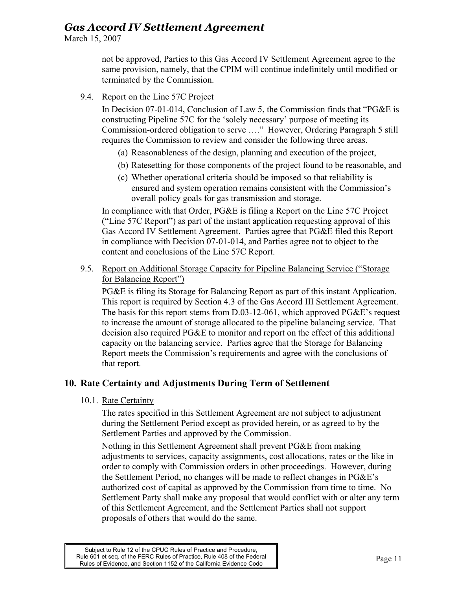March 15, 2007

not be approved, Parties to this Gas Accord IV Settlement Agreement agree to the same provision, namely, that the CPIM will continue indefinitely until modified or terminated by the Commission.

### 9.4. Report on the Line 57C Project

In Decision 07-01-014, Conclusion of Law 5, the Commission finds that "PG&E is constructing Pipeline 57C for the 'solely necessary' purpose of meeting its Commission-ordered obligation to serve …." However, Ordering Paragraph 5 still requires the Commission to review and consider the following three areas.

- (a) Reasonableness of the design, planning and execution of the project,
- (b) Ratesetting for those components of the project found to be reasonable, and
- (c) Whether operational criteria should be imposed so that reliability is ensured and system operation remains consistent with the Commission's overall policy goals for gas transmission and storage.

In compliance with that Order, PG&E is filing a Report on the Line 57C Project ("Line 57C Report") as part of the instant application requesting approval of this Gas Accord IV Settlement Agreement. Parties agree that PG&E filed this Report in compliance with Decision 07-01-014, and Parties agree not to object to the content and conclusions of the Line 57C Report.

9.5. Report on Additional Storage Capacity for Pipeline Balancing Service ("Storage for Balancing Report")

PG&E is filing its Storage for Balancing Report as part of this instant Application. This report is required by Section 4.3 of the Gas Accord III Settlement Agreement. The basis for this report stems from D.03-12-061, which approved PG&E's request to increase the amount of storage allocated to the pipeline balancing service. That decision also required PG&E to monitor and report on the effect of this additional capacity on the balancing service. Parties agree that the Storage for Balancing Report meets the Commission's requirements and agree with the conclusions of that report.

### **10. Rate Certainty and Adjustments During Term of Settlement**

10.1. Rate Certainty

The rates specified in this Settlement Agreement are not subject to adjustment during the Settlement Period except as provided herein, or as agreed to by the Settlement Parties and approved by the Commission.

Nothing in this Settlement Agreement shall prevent PG&E from making adjustments to services, capacity assignments, cost allocations, rates or the like in order to comply with Commission orders in other proceedings. However, during the Settlement Period, no changes will be made to reflect changes in PG&E's authorized cost of capital as approved by the Commission from time to time. No Settlement Party shall make any proposal that would conflict with or alter any term of this Settlement Agreement, and the Settlement Parties shall not support proposals of others that would do the same.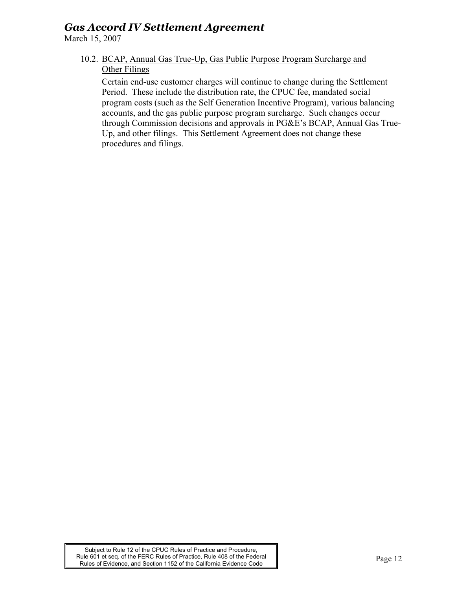March 15, 2007

10.2. BCAP, Annual Gas True-Up, Gas Public Purpose Program Surcharge and **Other Filings** 

Certain end-use customer charges will continue to change during the Settlement Period. These include the distribution rate, the CPUC fee, mandated social program costs (such as the Self Generation Incentive Program), various balancing accounts, and the gas public purpose program surcharge. Such changes occur through Commission decisions and approvals in PG&E's BCAP, Annual Gas True-Up, and other filings. This Settlement Agreement does not change these procedures and filings.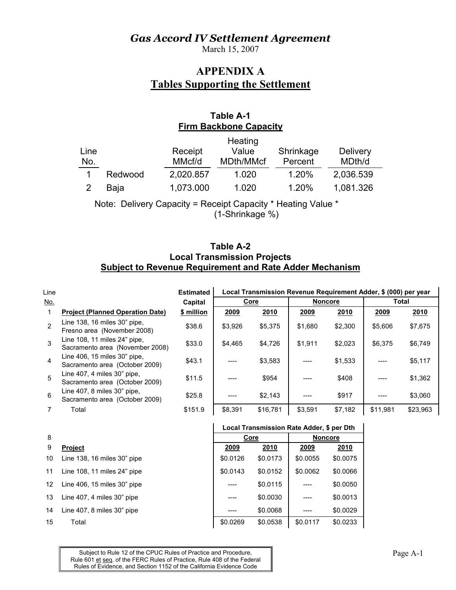March 15, 2007

## **APPENDIX A Tables Supporting the Settlement**

## **Table A-1 Firm Backbone Capacity**

|      |         |           | Heating   |           |                 |
|------|---------|-----------|-----------|-----------|-----------------|
| Line |         | Receipt   | Value     | Shrinkage | <b>Delivery</b> |
| No.  |         | MMcf/d    | MDth/MMcf | Percent   | MDth/d          |
|      | Redwood | 2,020.857 | 1.020     | 1.20%     | 2,036.539       |
|      | Baja    | 1,073.000 | 1.020     | 1.20%     | 1,081.326       |
|      |         |           |           |           |                 |

Note: Delivery Capacity = Receipt Capacity \* Heating Value \*

(1-Shrinkage %)

### **Table A-2 Local Transmission Projects Subject to Revenue Requirement and Rate Adder Mechanism**

| Line       |                                                                 | <b>Estimated</b> | Local Transmission Revenue Requirement Adder, \$ (000) per year |          |                |         |              |          |  |  |
|------------|-----------------------------------------------------------------|------------------|-----------------------------------------------------------------|----------|----------------|---------|--------------|----------|--|--|
| <u>No.</u> |                                                                 | Capital          |                                                                 | Core     | <b>Noncore</b> |         | <b>Total</b> |          |  |  |
|            | <b>Project (Planned Operation Date)</b>                         | \$ million       | 2009                                                            | 2010     | 2009           | 2010    | 2009         | 2010     |  |  |
| 2          | Line 138, 16 miles 30" pipe,<br>Fresno area (November 2008)     | \$38.6           | \$3,926                                                         | \$5,375  | \$1.680        | \$2,300 | \$5,606      | \$7,675  |  |  |
| 3          | Line 108, 11 miles 24" pipe,<br>Sacramento area (November 2008) | \$33.0           | \$4.465                                                         | \$4.726  | \$1,911        | \$2.023 | \$6.375      | \$6,749  |  |  |
| 4          | Line 406, 15 miles 30" pipe,<br>Sacramento area (October 2009)  | \$43.1           |                                                                 | \$3.583  |                | \$1,533 |              | \$5,117  |  |  |
| 5          | Line 407, 4 miles 30" pipe,<br>Sacramento area (October 2009)   | \$11.5           |                                                                 | \$954    |                | \$408   |              | \$1,362  |  |  |
| 6          | Line 407, 8 miles 30" pipe,<br>Sacramento area (October 2009)   | \$25.8           |                                                                 | \$2,143  |                | \$917   |              | \$3,060  |  |  |
|            | Total                                                           | \$151.9          | \$8,391                                                         | \$16,781 | \$3,591        | \$7,182 | \$11,981     | \$23,963 |  |  |

## 8

- 10 Line 138, 16 miles 30" pipe
- 11 Line 108, 11 miles 24" pipe
- 12 Line 406, 15 miles 30" pipe
- 13 Line 407, 4 miles 30" pipe
- 14 Line 407, 8 miles 30" pipe
- 

#### **Local Transmission Rate Adder, \$ per Dth**

| 8  | Core                           |          | <b>Noncore</b> |          |             |
|----|--------------------------------|----------|----------------|----------|-------------|
| 9  | <b>Project</b>                 | 2009     | 2010           | 2009     | <u>2010</u> |
| 10 | Line 138, 16 miles 30" pipe    | \$0.0126 | \$0.0173       | \$0.0055 | \$0.0075    |
| 11 | Line 108, 11 miles 24" pipe    | \$0.0143 | \$0.0152       | \$0.0062 | \$0.0066    |
|    | 12 Line 406, 15 miles 30" pipe |          | \$0.0115       |          | \$0.0050    |
| 13 | Line 407, 4 miles 30" pipe     |          | \$0.0030       |          | \$0.0013    |
| 14 | Line 407, 8 miles 30" pipe     |          | \$0.0068       |          | \$0.0029    |
| 15 | Total                          | \$0.0269 | \$0.0538       | \$0.0117 | \$0.0233    |
|    |                                |          |                |          |             |

Subject to Rule 12 of the CPUC Rules of Practice and Procedure, Page A-1 Rule 601 et seq. of the FERC Rules of Practice, Rule 408 of the Federal Rules of Evidence, and Section 1152 of the California Evidence Code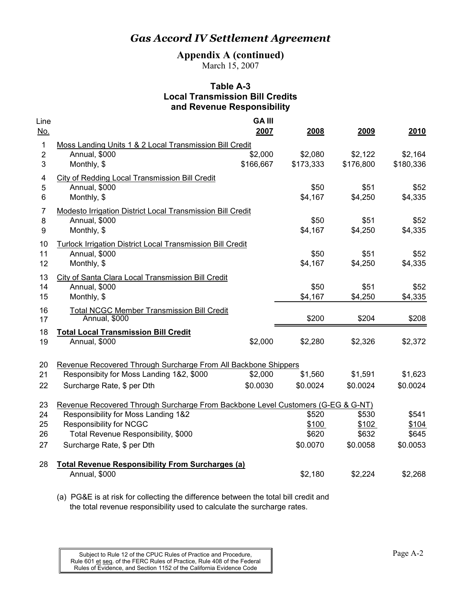**Appendix A (continued)** 

March 15, 2007

### **Table A-3 Local Transmission Bill Credits and Revenue Responsibility**

| Line       |                                                                                                            | <b>GA III</b> |           |           |           |
|------------|------------------------------------------------------------------------------------------------------------|---------------|-----------|-----------|-----------|
| <u>No.</u> |                                                                                                            | 2007          | 2008      | 2009      | 2010      |
| 1          | Moss Landing Units 1 & 2 Local Transmission Bill Credit                                                    |               |           |           |           |
| 2          | Annual, \$000                                                                                              | \$2,000       | \$2,080   | \$2,122   | \$2,164   |
| 3          | Monthly, \$                                                                                                | \$166,667     | \$173,333 | \$176,800 | \$180,336 |
| 4          | <b>City of Redding Local Transmission Bill Credit</b>                                                      |               |           |           |           |
| 5          | Annual, \$000                                                                                              |               | \$50      | \$51      | \$52      |
| 6          | Monthly, \$                                                                                                |               | \$4,167   | \$4,250   | \$4,335   |
| 7          | <b>Modesto Irrigation District Local Transmission Bill Credit</b>                                          |               |           |           |           |
| 8          | Annual, \$000                                                                                              |               | \$50      | \$51      | \$52      |
| 9          | Monthly, \$                                                                                                |               | \$4,167   | \$4,250   | \$4,335   |
| 10         | Turlock Irrigation District Local Transmission Bill Credit                                                 |               |           |           |           |
| 11         | Annual, \$000                                                                                              |               | \$50      | \$51      | \$52      |
| 12         | Monthly, \$                                                                                                |               | \$4,167   | \$4,250   | \$4,335   |
| 13         | City of Santa Clara Local Transmission Bill Credit                                                         |               |           |           |           |
| 14         | Annual, \$000                                                                                              |               | \$50      | \$51      | \$52      |
| 15         | Monthly, \$                                                                                                |               | \$4,167   | \$4,250   | \$4,335   |
| 16         | <b>Total NCGC Member Transmission Bill Credit</b>                                                          |               |           |           |           |
| 17         | Annual, \$000                                                                                              |               | \$200     | \$204     | \$208     |
| 18         | <b>Total Local Transmission Bill Credit</b>                                                                |               |           |           |           |
| 19         | Annual, \$000                                                                                              | \$2,000       | \$2,280   | \$2,326   | \$2,372   |
|            |                                                                                                            |               |           |           |           |
| 20<br>21   | Revenue Recovered Through Surcharge From All Backbone Shippers<br>Responsibity for Moss Landing 1&2, \$000 | \$2,000       | \$1,560   | \$1,591   | \$1,623   |
|            |                                                                                                            |               |           |           |           |
| 22         | Surcharge Rate, \$ per Dth                                                                                 | \$0.0030      | \$0.0024  | \$0.0024  | \$0.0024  |
| 23         | Revenue Recovered Through Surcharge From Backbone Level Customers (G-EG & G-NT)                            |               |           |           |           |
| 24         | Responsibility for Moss Landing 1&2                                                                        |               | \$520     | \$530     | \$541     |
| 25         | <b>Responsibility for NCGC</b>                                                                             |               | \$100     | \$102     | \$104     |
| 26         | Total Revenue Responsibility, \$000                                                                        |               | \$620     | \$632     | \$645     |
| 27         | Surcharge Rate, \$ per Dth                                                                                 |               | \$0.0070  | \$0.0058  | \$0.0053  |
| 28         | <b>Total Revenue Responsibility From Surcharges (a)</b>                                                    |               |           |           |           |
|            | Annual, \$000                                                                                              |               | \$2,180   | \$2,224   | \$2,268   |
|            |                                                                                                            |               |           |           |           |

(a) PG&E is at risk for collecting the difference between the total bill credit and the total revenue responsibility used to calculate the surcharge rates.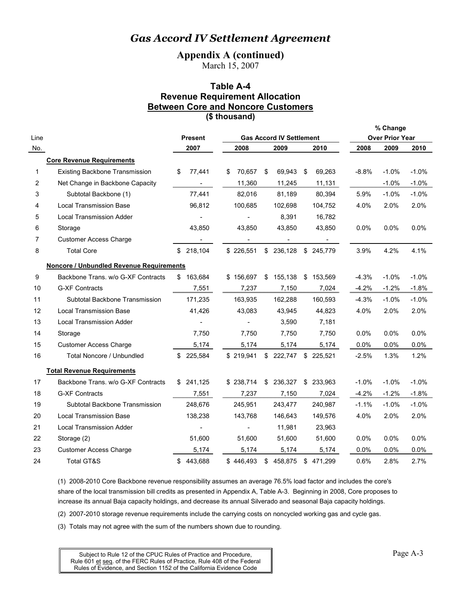**Appendix A (continued)** 

March 15, 2007

## **Table A-4 Revenue Requirement Allocation Between Core and Noncore Customers**

**(\$ thousand)**

|                |                                                 |     |                |    |                                 |    |         |    |           |         | % Change               |         |
|----------------|-------------------------------------------------|-----|----------------|----|---------------------------------|----|---------|----|-----------|---------|------------------------|---------|
| Line           |                                                 |     | <b>Present</b> |    | <b>Gas Accord IV Settlement</b> |    |         |    |           |         | <b>Over Prior Year</b> |         |
| No.            |                                                 |     | 2007           |    | 2008                            |    | 2009    |    | 2010      | 2008    | 2009                   | 2010    |
|                | <b>Core Revenue Requirements</b>                |     |                |    |                                 |    |         |    |           |         |                        |         |
| 1              | <b>Existing Backbone Transmission</b>           | \$  | 77,441         | \$ | 70,657                          | S  | 69,943  | \$ | 69,263    | $-8.8%$ | $-1.0%$                | $-1.0%$ |
| 2              | Net Change in Backbone Capacity                 |     |                |    | 11,360                          |    | 11,245  |    | 11,131    |         | $-1.0%$                | $-1.0%$ |
| 3              | Subtotal Backbone (1)                           |     | 77,441         |    | 82,016                          |    | 81,189  |    | 80,394    | 5.9%    | $-1.0%$                | $-1.0%$ |
| 4              | <b>Local Transmission Base</b>                  |     | 96,812         |    | 100,685                         |    | 102,698 |    | 104,752   | 4.0%    | 2.0%                   | 2.0%    |
| 5              | <b>Local Transmission Adder</b>                 |     |                |    |                                 |    | 8,391   |    | 16,782    |         |                        |         |
| 6              | Storage                                         |     | 43,850         |    | 43,850                          |    | 43,850  |    | 43,850    | 0.0%    | 0.0%                   | 0.0%    |
| $\overline{7}$ | <b>Customer Access Charge</b>                   |     |                |    |                                 |    |         |    |           |         |                        |         |
| 8              | <b>Total Core</b>                               |     | \$218,104      |    | \$226,551                       | \$ | 236,128 | \$ | 245,779   | 3.9%    | 4.2%                   | 4.1%    |
|                | <b>Noncore / Unbundled Revenue Requirements</b> |     |                |    |                                 |    |         |    |           |         |                        |         |
| 9              | Backbone Trans. w/o G-XF Contracts              |     | \$163,684      |    | \$156,697                       | \$ | 155,138 |    | \$153,569 | $-4.3%$ | $-1.0%$                | $-1.0%$ |
| 10             | <b>G-XF Contracts</b>                           |     | 7,551          |    | 7,237                           |    | 7,150   |    | 7,024     | $-4.2%$ | $-1.2%$                | $-1.8%$ |
| 11             | Subtotal Backbone Transmission                  |     | 171,235        |    | 163,935                         |    | 162,288 |    | 160,593   | $-4.3%$ | $-1.0%$                | $-1.0%$ |
| 12             | <b>Local Transmission Base</b>                  |     | 41,426         |    | 43,083                          |    | 43,945  |    | 44,823    | 4.0%    | $2.0\%$                | 2.0%    |
| 13             | <b>Local Transmission Adder</b>                 |     |                |    |                                 |    | 3,590   |    | 7,181     |         |                        |         |
| 14             | Storage                                         |     | 7,750          |    | 7,750                           |    | 7,750   |    | 7,750     | 0.0%    | $0.0\%$                | 0.0%    |
| 15             | <b>Customer Access Charge</b>                   |     | 5,174          |    | 5,174                           |    | 5,174   |    | 5,174     | 0.0%    | 0.0%                   | 0.0%    |
| 16             | Total Noncore / Unbundled                       |     | \$ 225,584     |    | \$219,941                       | \$ | 222,747 |    | \$225,521 | $-2.5%$ | 1.3%                   | 1.2%    |
|                | <b>Total Revenue Requirements</b>               |     |                |    |                                 |    |         |    |           |         |                        |         |
| 17             | Backbone Trans. w/o G-XF Contracts              | \$. | 241,125        |    | \$238,714                       | \$ | 236,327 | \$ | 233,963   | $-1.0%$ | $-1.0%$                | $-1.0%$ |
| 18             | <b>G-XF Contracts</b>                           |     | 7.551          |    | 7,237                           |    | 7,150   |    | 7,024     | $-4.2%$ | $-1.2%$                | $-1.8%$ |
| 19             | Subtotal Backbone Transmission                  |     | 248,676        |    | 245,951                         |    | 243,477 |    | 240,987   | $-1.1%$ | $-1.0\%$               | $-1.0%$ |
| 20             | <b>Local Transmission Base</b>                  |     | 138,238        |    | 143,768                         |    | 146,643 |    | 149,576   | 4.0%    | 2.0%                   | 2.0%    |
| 21             | <b>Local Transmission Adder</b>                 |     |                |    |                                 |    | 11,981  |    | 23,963    |         |                        |         |
| 22             | Storage (2)                                     |     | 51,600         |    | 51,600                          |    | 51,600  |    | 51,600    | 0.0%    | 0.0%                   | 0.0%    |
| 23             | <b>Customer Access Charge</b>                   |     | 5,174          |    | 5,174                           |    | 5,174   |    | 5,174     | 0.0%    | 0.0%                   | 0.0%    |
| 24             | <b>Total GT&amp;S</b>                           |     | \$443,688      |    | \$446,493                       | \$ | 458,875 |    | \$471.299 | 0.6%    | 2.8%                   | 2.7%    |

(1) 2008-2010 Core Backbone revenue responsibility assumes an average 76.5% load factor and includes the core's share of the local transmission bill credits as presented in Appendix A, Table A-3. Beginning in 2008, Core proposes to increase its annual Baja capacity holdings, and decrease its annual Silverado and seasonal Baja capacity holdings.

(2) 2007-2010 storage revenue requirements include the carrying costs on noncycled working gas and cycle gas.

(3) Totals may not agree with the sum of the numbers shown due to rounding.

Subject to Rule 12 of the CPUC Rules of Practice and Procedure, Page A-3 Rule 601 et seq. of the FERC Rules of Practice, Rule 408 of the Federal Rules of Evidence, and Section 1152 of the California Evidence Code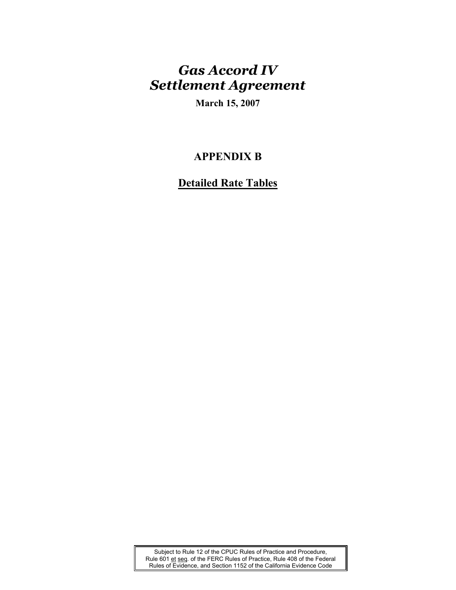**March 15, 2007** 

## **APPENDIX B**

## **Detailed Rate Tables**

Subject to Rule 12 of the CPUC Rules of Practice and Procedure, Rule 601 et seq. of the FERC Rules of Practice, Rule 408 of the Federal Rules of Evidence, and Section 1152 of the California Evidence Code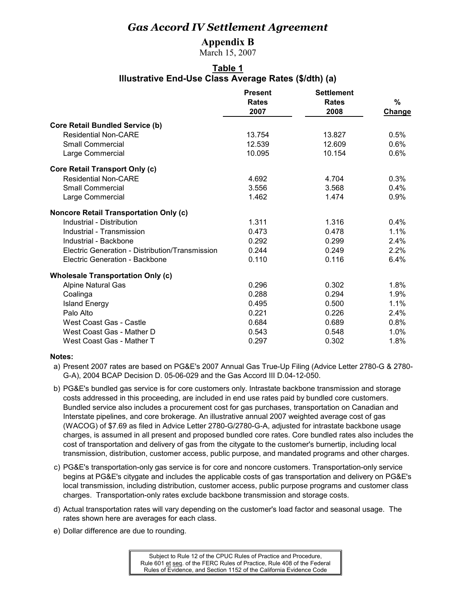### **Appendix B**

March 15, 2007

### **Table 1 Illustrative End-Use Class Average Rates (\$/dth) (a)**

|                                                 | <b>Present</b><br><b>Rates</b><br>2007 | <b>Settlement</b><br><b>Rates</b><br>2008 | %<br><b>Change</b> |
|-------------------------------------------------|----------------------------------------|-------------------------------------------|--------------------|
| <b>Core Retail Bundled Service (b)</b>          |                                        |                                           |                    |
| <b>Residential Non-CARE</b>                     | 13.754                                 | 13.827                                    | 0.5%               |
| <b>Small Commercial</b>                         | 12.539                                 | 12.609                                    | 0.6%               |
| Large Commercial                                | 10.095                                 | 10.154                                    | 0.6%               |
| <b>Core Retail Transport Only (c)</b>           |                                        |                                           |                    |
| <b>Residential Non-CARE</b>                     | 4.692                                  | 4.704                                     | 0.3%               |
| Small Commercial                                | 3.556                                  | 3.568                                     | 0.4%               |
| Large Commercial                                | 1.462                                  | 1.474                                     | 0.9%               |
| <b>Noncore Retail Transportation Only (c)</b>   |                                        |                                           |                    |
| Industrial - Distribution                       | 1.311                                  | 1.316                                     | $0.4\%$            |
| Industrial - Transmission                       | 0.473                                  | 0.478                                     | 1.1%               |
| Industrial - Backbone                           | 0.292                                  | 0.299                                     | 2.4%               |
| Electric Generation - Distribution/Transmission | 0.244                                  | 0.249                                     | 2.2%               |
| Electric Generation - Backbone                  | 0.110                                  | 0.116                                     | 6.4%               |
| <b>Wholesale Transportation Only (c)</b>        |                                        |                                           |                    |
| <b>Alpine Natural Gas</b>                       | 0.296                                  | 0.302                                     | 1.8%               |
| Coalinga                                        | 0.288                                  | 0.294                                     | 1.9%               |
| <b>Island Energy</b>                            | 0.495                                  | 0.500                                     | 1.1%               |
| Palo Alto                                       | 0.221                                  | 0.226                                     | 2.4%               |
| West Coast Gas - Castle                         | 0.684                                  | 0.689                                     | 0.8%               |
| West Coast Gas - Mather D                       | 0.543                                  | 0.548                                     | 1.0%               |
| West Coast Gas - Mather T                       | 0.297                                  | 0.302                                     | 1.8%               |

- a) Present 2007 rates are based on PG&E's 2007 Annual Gas True-Up Filing (Advice Letter 2780-G & 2780- G-A), 2004 BCAP Decision D. 05-06-029 and the Gas Accord III D.04-12-050.
- b) PG&E's bundled gas service is for core customers only. Intrastate backbone transmission and storage costs addressed in this proceeding, are included in end use rates paid by bundled core customers. Bundled service also includes a procurement cost for gas purchases, transportation on Canadian and Interstate pipelines, and core brokerage. An illustrative annual 2007 weighted average cost of gas (WACOG) of \$7.69 as filed in Advice Letter 2780-G/2780-G-A, adjusted for intrastate backbone usage charges, is assumed in all present and proposed bundled core rates. Core bundled rates also includes the cost of transportation and delivery of gas from the citygate to the customer's burnertip, including local transmission, distribution, customer access, public purpose, and mandated programs and other charges.
- c) PG&E's transportation-only gas service is for core and noncore customers. Transportation-only service begins at PG&E's citygate and includes the applicable costs of gas transportation and delivery on PG&E's local transmission, including distribution, customer access, public purpose programs and customer class charges. Transportation-only rates exclude backbone transmission and storage costs.
- d) Actual transportation rates will vary depending on the customer's load factor and seasonal usage. The rates shown here are averages for each class.
- e) Dollar difference are due to rounding.

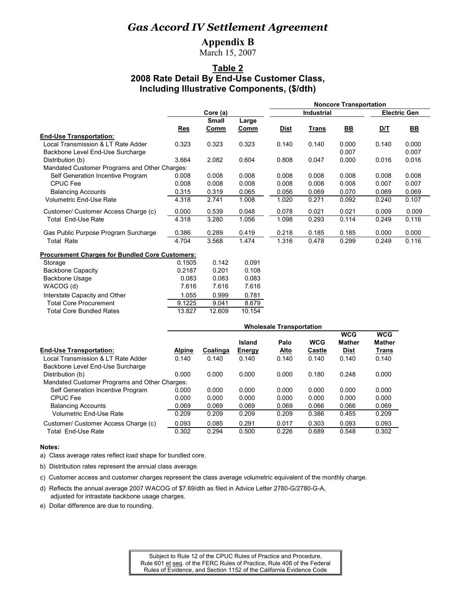### **Appendix B**

March 15, 2007

### **Table 2 2008 Rate Detail By End-Use Customer Class, Including Illustrative Components, (\$/dth)**

|                                                        |       |                      |                      | <b>Noncore Transportation</b> |                   |           |                     |                           |  |  |
|--------------------------------------------------------|-------|----------------------|----------------------|-------------------------------|-------------------|-----------|---------------------|---------------------------|--|--|
|                                                        |       | Core (a)             |                      |                               | <b>Industrial</b> |           | <b>Electric Gen</b> |                           |  |  |
|                                                        | Res   | <b>Small</b><br>Comm | Large<br>Comm        | <b>Dist</b>                   | Trans             | <u>BB</u> | D/T                 | $\underline{\mathsf{BB}}$ |  |  |
| <b>End-Use Transportation:</b>                         |       |                      |                      |                               |                   |           |                     |                           |  |  |
| Local Transmission & LT Rate Adder                     | 0.323 | 0.323                | 0.323                | 0.140                         | 0.140             | 0.000     | 0.140               | 0.000                     |  |  |
| Backbone Level End-Use Surcharge                       |       |                      |                      |                               |                   | 0.007     |                     | 0.007                     |  |  |
| Distribution (b)                                       | 3.664 | 2.082                | 0.604                | 0.808                         | 0.047             | 0.000     | 0.016               | 0.016                     |  |  |
| Mandated Customer Programs and Other Charges:          |       |                      |                      |                               |                   |           |                     |                           |  |  |
| Self Generation Incentive Program                      | 0.008 | 0.008                | 0.008                | 0.008                         | 0.008             | 0.008     | 0.008               | 0.008                     |  |  |
| <b>CPUC Fee</b>                                        | 0.008 | 0.008                | 0.008                | 0.008                         | 0.008             | 0.008     | 0.007               | 0.007                     |  |  |
| <b>Balancing Accounts</b>                              | 0.315 | 0.319                | 0.065                | 0.056                         | 0.069             | 0.070     | 0.069               | 0.069                     |  |  |
| Volumetric End-Use Rate                                | 4.318 | 2.741                | 1.008                | 1.020                         | 0.271             | 0.092     | 0.240               | 0.107                     |  |  |
| Customer/ Customer Access Charge (c)                   | 0.000 | 0.539                | 0.048                | 0.078                         | 0.021             | 0.021     | 0.009               | 0.009                     |  |  |
| <b>Total End-Use Rate</b>                              | 4.318 | 3.280                | 1.056                | 1.098                         | 0.293             | 0.114     | 0.249               | 0.116                     |  |  |
| Gas Public Purpose Program Surcharge                   | 0.386 | 0.289                | 0.419                | 0.218                         | 0.185             | 0.185     | 0.000               | 0.000                     |  |  |
| Total Rate                                             | 4.704 | 3.568                | 1.474                | 1.316                         | 0.478             | 0.299     | 0.249               | 0.116                     |  |  |
| <b>Procurement Charges for Bundled Core Customers:</b> |       |                      |                      |                               |                   |           |                     |                           |  |  |
| $\sim$                                                 |       | $\sim$ $\sim$        | $\sim$ $\sim$ $\sim$ |                               |                   |           |                     |                           |  |  |

| Storage                         | 0.1505 | 0.142  | 0.091  |
|---------------------------------|--------|--------|--------|
| <b>Backbone Capacity</b>        | 0.2187 | 0.201  | 0.108  |
| <b>Backbone Usage</b>           | 0.083  | 0.083  | 0.083  |
| WACOG (d)                       | 7.616  | 7.616  | 7.616  |
| Interstate Capacity and Other   | 1.055  | 0.999  | 0.781  |
| <b>Total Core Procurement</b>   | 9.1225 | 9.041  | 8.679  |
| <b>Total Core Bundled Rates</b> | 13.827 | 12.609 | 10.154 |
|                                 |        |        |        |

|                                               | <b>Wholesale Transportation</b> |          |        |             |            |                             |                             |  |
|-----------------------------------------------|---------------------------------|----------|--------|-------------|------------|-----------------------------|-----------------------------|--|
|                                               |                                 |          | Island | Palo        | <b>WCG</b> | <b>WCG</b><br><b>Mather</b> | <b>WCG</b><br><b>Mather</b> |  |
| <b>End-Use Transportation:</b>                | <b>Alpine</b>                   | Coalinga | Energy | <u>Alto</u> | Castle     | <b>Dist</b>                 | <b>Trans</b>                |  |
| Local Transmission & LT Rate Adder            | 0.140                           | 0.140    | 0.140  | 0.140       | 0.140      | 0.140                       | 0.140                       |  |
| Backbone Level End-Use Surcharge              |                                 |          |        |             |            |                             |                             |  |
| Distribution (b)                              | 0.000                           | 0.000    | 0.000  | 0.000       | 0.180      | 0.248                       | 0.000                       |  |
| Mandated Customer Programs and Other Charges: |                                 |          |        |             |            |                             |                             |  |
| Self Generation Incentive Program             | 0.000                           | 0.000    | 0.000  | 0.000       | 0.000      | 0.000                       | 0.000                       |  |
| <b>CPUC</b> Fee                               | 0.000                           | 0.000    | 0.000  | 0.000       | 0.000      | 0.000                       | 0.000                       |  |
| <b>Balancing Accounts</b>                     | 0.069                           | 0.069    | 0.069  | 0.069       | 0.066      | 0.066                       | 0.069                       |  |
| <b>Volumetric End-Use Rate</b>                | 0.209                           | 0.209    | 0.209  | 0.209       | 0.386      | 0.455                       | 0.209                       |  |
| Customer/ Customer Access Charge (c)          | 0.093                           | 0.085    | 0.291  | 0.017       | 0.303      | 0.093                       | 0.093                       |  |
| Total End-Use Rate                            | 0.302                           | 0.294    | 0.500  | 0.226       | 0.689      | 0.548                       | 0.302                       |  |

#### **Notes:**

a) Class average rates reflect load shape for bundled core.

b) Distribution rates represent the annual class average.

c) Customer access and customer charges represent the class average volumetric equivalent of the monthly charge.

- d) Reflects the annual average 2007 WACOG of \$7.69/dth as filed in Advice Letter 2780-G/2780-G-A, adjusted for intrastate backbone usage charges.
- e) Dollar difference are due to rounding.

Subject to Rule 12 of the CPUC Rules of Practice and Procedure, Rule 601 et seq. of the FERC Rules of Practice, Rule 408 of the Federal Rules of Evidence, and Section 1152 of the California Evidence Code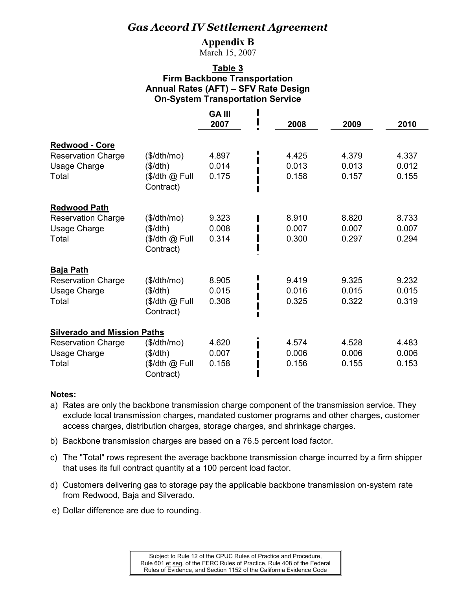### **Appendix B**

March 15, 2007

### **Table 3 Firm Backbone Transportation Annual Rates (AFT) – SFV Rate Design On-System Transportation Service**

|                                                                      |                                                          | <b>GA III</b><br>2007   | 2008                    | 2009                    | 2010                    |
|----------------------------------------------------------------------|----------------------------------------------------------|-------------------------|-------------------------|-------------------------|-------------------------|
|                                                                      |                                                          |                         |                         |                         |                         |
| Redwood - Core<br><b>Reservation Charge</b><br>Usage Charge<br>Total | (\$/dth/mol)<br>(\$/dth)<br>(\$/dth @ Full<br>Contract)  | 4.897<br>0.014<br>0.175 | 4.425<br>0.013<br>0.158 | 4.379<br>0.013<br>0.157 | 4.337<br>0.012<br>0.155 |
| <b>Redwood Path</b>                                                  |                                                          |                         |                         |                         |                         |
| <b>Reservation Charge</b><br>Usage Charge<br>Total                   | (\$/dth/mol)<br>(\$/dth)<br>(\$/dth @ Full<br>Contract)  | 9.323<br>0.008<br>0.314 | 8.910<br>0.007<br>0.300 | 8.820<br>0.007<br>0.297 | 8.733<br>0.007<br>0.294 |
| <b>Baja Path</b>                                                     |                                                          |                         |                         |                         |                         |
| <b>Reservation Charge</b><br><b>Usage Charge</b><br>Total            | (\$/dth/mol)<br>(\$/dth)<br>(\$/dth @ Full<br>Contract)  | 8.905<br>0.015<br>0.308 | 9.419<br>0.016<br>0.325 | 9.325<br>0.015<br>0.322 | 9.232<br>0.015<br>0.319 |
| <b>Silverado and Mission Paths</b>                                   |                                                          |                         |                         |                         |                         |
| <b>Reservation Charge</b><br>Usage Charge<br>Total                   | (\$/dth/mol)<br>(\$/dth)<br>$($/dth @$ Full<br>Contract) | 4.620<br>0.007<br>0.158 | 4.574<br>0.006<br>0.156 | 4.528<br>0.006<br>0.155 | 4.483<br>0.006<br>0.153 |

- a) Rates are only the backbone transmission charge component of the transmission service. They exclude local transmission charges, mandated customer programs and other charges, customer access charges, distribution charges, storage charges, and shrinkage charges.
- b) Backbone transmission charges are based on a 76.5 percent load factor.
- c) The "Total" rows represent the average backbone transmission charge incurred by a firm shipper that uses its full contract quantity at a 100 percent load factor.
- d) Customers delivering gas to storage pay the applicable backbone transmission on-system rate from Redwood, Baja and Silverado.
- e) Dollar difference are due to rounding.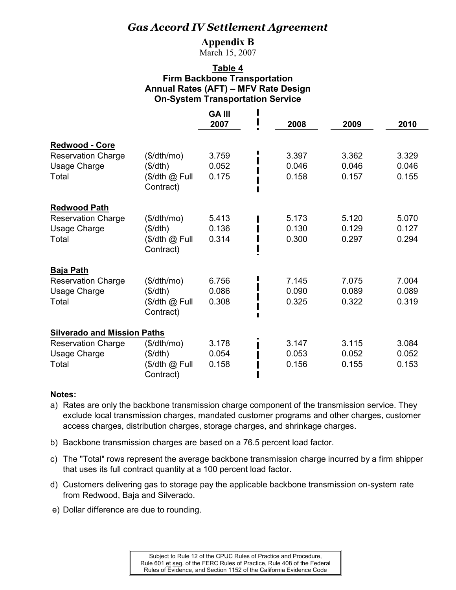### **Appendix B**

March 15, 2007

### **Table 4 Firm Backbone Transportation Annual Rates (AFT) – MFV Rate Design On-System Transportation Service**

|                                                                             |                                                         | <b>GA III</b><br>2007   | 2008                    | 2009                    | 2010                    |
|-----------------------------------------------------------------------------|---------------------------------------------------------|-------------------------|-------------------------|-------------------------|-------------------------|
|                                                                             |                                                         |                         |                         |                         |                         |
| Redwood - Core<br><b>Reservation Charge</b><br><b>Usage Charge</b><br>Total | (\$/dth/mol)<br>(\$/dth)<br>(\$/dth @ Full<br>Contract) | 3.759<br>0.052<br>0.175 | 3.397<br>0.046<br>0.158 | 3.362<br>0.046<br>0.157 | 3.329<br>0.046<br>0.155 |
| <b>Redwood Path</b>                                                         |                                                         |                         |                         |                         |                         |
| <b>Reservation Charge</b><br><b>Usage Charge</b><br>Total                   | (\$/dth/mol)<br>(\$/dth)<br>(\$/dth @ Full<br>Contract) | 5.413<br>0.136<br>0.314 | 5.173<br>0.130<br>0.300 | 5.120<br>0.129<br>0.297 | 5.070<br>0.127<br>0.294 |
| <b>Baja Path</b>                                                            |                                                         |                         |                         |                         |                         |
| <b>Reservation Charge</b><br><b>Usage Charge</b><br>Total                   | (\$/dth/mol)<br>(\$/dth)<br>(\$/dth @ Full<br>Contract) | 6.756<br>0.086<br>0.308 | 7.145<br>0.090<br>0.325 | 7.075<br>0.089<br>0.322 | 7.004<br>0.089<br>0.319 |
| <b>Silverado and Mission Paths</b>                                          |                                                         |                         |                         |                         |                         |
| <b>Reservation Charge</b><br><b>Usage Charge</b><br>Total                   | (\$/dth/mol)<br>(\$/dth)<br>(\$/dth @ Full<br>Contract) | 3.178<br>0.054<br>0.158 | 3.147<br>0.053<br>0.156 | 3.115<br>0.052<br>0.155 | 3.084<br>0.052<br>0.153 |

- a) Rates are only the backbone transmission charge component of the transmission service. They exclude local transmission charges, mandated customer programs and other charges, customer access charges, distribution charges, storage charges, and shrinkage charges.
- b) Backbone transmission charges are based on a 76.5 percent load factor.
- c) The "Total" rows represent the average backbone transmission charge incurred by a firm shipper that uses its full contract quantity at a 100 percent load factor.
- d) Customers delivering gas to storage pay the applicable backbone transmission on-system rate from Redwood, Baja and Silverado.
- e) Dollar difference are due to rounding.

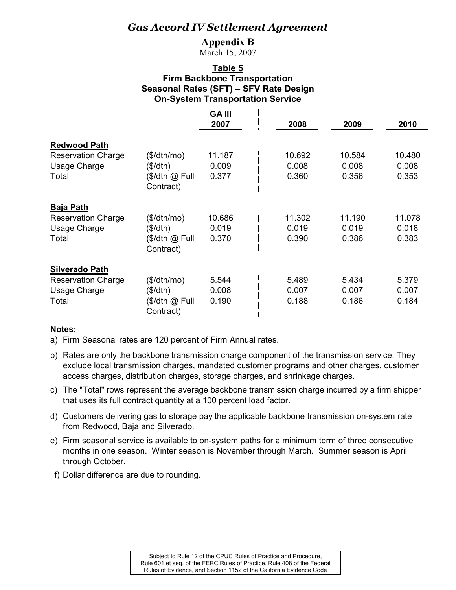### **Appendix B**

March 15, 2007

### **Table 5 Firm Backbone Transportation Seasonal Rates (SFT) – SFV Rate Design On-System Transportation Service**

|                                                                                    |                                                         | <b>GAIII</b><br>2007     | 2008                     | 2009                     | 2010                     |
|------------------------------------------------------------------------------------|---------------------------------------------------------|--------------------------|--------------------------|--------------------------|--------------------------|
| <b>Redwood Path</b><br><b>Reservation Charge</b><br><b>Usage Charge</b><br>Total   | (\$/dth/mol)<br>(\$/dth)<br>(\$/dth @ Full<br>Contract) | 11.187<br>0.009<br>0.377 | 10.692<br>0.008<br>0.360 | 10.584<br>0.008<br>0.356 | 10.480<br>0.008<br>0.353 |
| <b>Baja Path</b><br><b>Reservation Charge</b><br><b>Usage Charge</b><br>Total      | (\$/dth/mol)<br>(\$/dth)<br>(\$/dth @ Full<br>Contract) | 10.686<br>0.019<br>0.370 | 11.302<br>0.019<br>0.390 | 11.190<br>0.019<br>0.386 | 11.078<br>0.018<br>0.383 |
| <b>Silverado Path</b><br><b>Reservation Charge</b><br><b>Usage Charge</b><br>Total | (\$/dth/mol)<br>(\$/dth)<br>$$/dth @$ Full<br>Contract) | 5.544<br>0.008<br>0.190  | 5.489<br>0.007<br>0.188  | 5.434<br>0.007<br>0.186  | 5.379<br>0.007<br>0.184  |

### **Notes:**

a) Firm Seasonal rates are 120 percent of Firm Annual rates.

- b) Rates are only the backbone transmission charge component of the transmission service. They exclude local transmission charges, mandated customer programs and other charges, customer access charges, distribution charges, storage charges, and shrinkage charges.
- c) The "Total" rows represent the average backbone transmission charge incurred by a firm shipper that uses its full contract quantity at a 100 percent load factor.
- d) Customers delivering gas to storage pay the applicable backbone transmission on-system rate from Redwood, Baja and Silverado.
- e) Firm seasonal service is available to on-system paths for a minimum term of three consecutive months in one season. Winter season is November through March. Summer season is April through October.
- f) Dollar difference are due to rounding.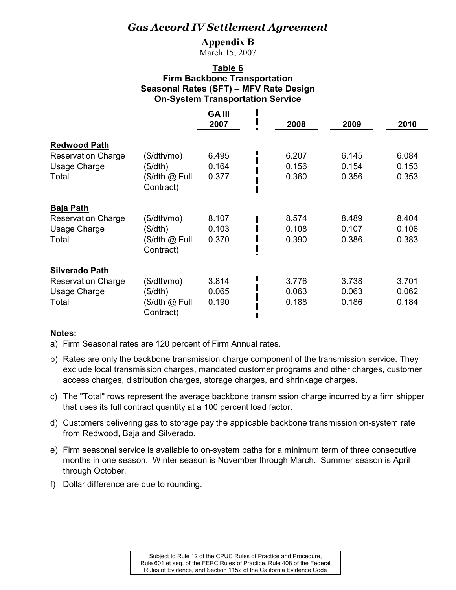### **Appendix B**

March 15, 2007

### **Table 6 Firm Backbone Transportation Seasonal Rates (SFT) – MFV Rate Design On-System Transportation Service**

|                           |                | <b>GA III</b> |       |       |       |
|---------------------------|----------------|---------------|-------|-------|-------|
|                           |                | 2007          | 2008  | 2009  | 2010  |
| <b>Redwood Path</b>       |                |               |       |       |       |
| <b>Reservation Charge</b> | (\$/dth/mo)    | 6.495         | 6.207 | 6.145 | 6.084 |
| <b>Usage Charge</b>       | (\$/dth)       | 0.164         | 0.156 | 0.154 | 0.153 |
| Total                     | (\$/dth @ Full | 0.377         | 0.360 | 0.356 | 0.353 |
|                           | Contract)      |               |       |       |       |
| <b>Baja Path</b>          |                |               |       |       |       |
| <b>Reservation Charge</b> | (\$/dth/mol)   | 8.107         | 8.574 | 8.489 | 8.404 |
| <b>Usage Charge</b>       | (\$/dth)       | 0.103         | 0.108 | 0.107 | 0.106 |
| Total                     | (\$/dth @ Full | 0.370         | 0.390 | 0.386 | 0.383 |
|                           | Contract)      |               |       |       |       |
| <b>Silverado Path</b>     |                |               |       |       |       |
| <b>Reservation Charge</b> | (\$/dth/mo)    | 3.814         | 3.776 | 3.738 | 3.701 |
| Usage Charge              | (\$/dth)       | 0.065         | 0.063 | 0.063 | 0.062 |
| Total                     | (\$/dth @ Full | 0.190         | 0.188 | 0.186 | 0.184 |
|                           | Contract)      |               |       |       |       |

- a) Firm Seasonal rates are 120 percent of Firm Annual rates.
- b) Rates are only the backbone transmission charge component of the transmission service. They exclude local transmission charges, mandated customer programs and other charges, customer access charges, distribution charges, storage charges, and shrinkage charges.
- c) The "Total" rows represent the average backbone transmission charge incurred by a firm shipper that uses its full contract quantity at a 100 percent load factor.
- d) Customers delivering gas to storage pay the applicable backbone transmission on-system rate from Redwood, Baja and Silverado.
- e) Firm seasonal service is available to on-system paths for a minimum term of three consecutive months in one season. Winter season is November through March. Summer season is April through October.
- f) Dollar difference are due to rounding.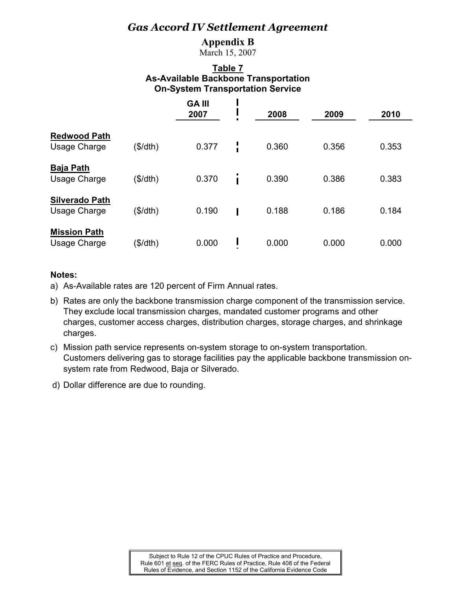### **Appendix B**

March 15, 2007

### **Table 7 As-Available Backbone Transportation On-System Transportation Service**

|                                            |          | <b>GAIII</b><br>2007 |   | 2008  | 2009  | 2010  |
|--------------------------------------------|----------|----------------------|---|-------|-------|-------|
| <b>Redwood Path</b><br><b>Usage Charge</b> | (\$/dth) | 0.377                | I | 0.360 | 0.356 | 0.353 |
| <b>Baja Path</b><br><b>Usage Charge</b>    | (\$/dth) | 0.370                | Ī | 0.390 | 0.386 | 0.383 |
| <b>Silverado Path</b><br>Usage Charge      | (\$/dth) | 0.190                |   | 0.188 | 0.186 | 0.184 |
| <b>Mission Path</b><br><b>Usage Charge</b> | (\$/dth) | 0.000                |   | 0.000 | 0.000 | 0.000 |

- a) As-Available rates are 120 percent of Firm Annual rates.
- b) Rates are only the backbone transmission charge component of the transmission service. They exclude local transmission charges, mandated customer programs and other charges, customer access charges, distribution charges, storage charges, and shrinkage charges.
- c) Mission path service represents on-system storage to on-system transportation. Customers delivering gas to storage facilities pay the applicable backbone transmission onsystem rate from Redwood, Baja or Silverado.
- d) Dollar difference are due to rounding.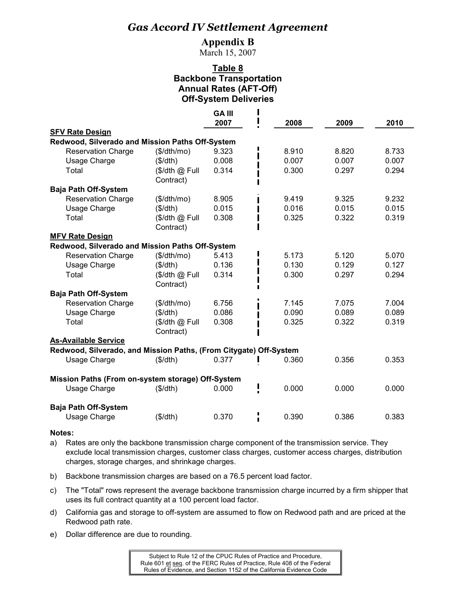### **Appendix B**

March 15, 2007

### **Table 8 Backbone Transportation Annual Rates (AFT-Off) Off-System Deliveries**

|                                                                   |                             | <b>GA III</b><br>2007 | 2008  | 2009  | 2010  |
|-------------------------------------------------------------------|-----------------------------|-----------------------|-------|-------|-------|
| <b>SFV Rate Design</b>                                            |                             |                       |       |       |       |
| Redwood, Silverado and Mission Paths Off-System                   |                             |                       |       |       |       |
| <b>Reservation Charge</b>                                         | (\$/dth/mol)                | 9.323                 | 8.910 | 8.820 | 8.733 |
| Usage Charge                                                      | (\$/dth)                    | 0.008                 | 0.007 | 0.007 | 0.007 |
| Total                                                             |                             | 0.314                 | 0.300 | 0.297 | 0.294 |
|                                                                   | (\$/dth @ Full<br>Contract) |                       |       |       |       |
| <b>Baja Path Off-System</b>                                       |                             |                       |       |       |       |
| <b>Reservation Charge</b>                                         | (\$/dth/mol)                | 8.905                 | 9.419 | 9.325 | 9.232 |
| Usage Charge                                                      | (\$/dth)                    | 0.015                 | 0.016 | 0.015 | 0.015 |
| Total                                                             | (\$/dth @ Full              | 0.308                 | 0.325 | 0.322 | 0.319 |
|                                                                   | Contract)                   |                       |       |       |       |
| <b>MFV Rate Design</b>                                            |                             |                       |       |       |       |
| Redwood, Silverado and Mission Paths Off-System                   |                             |                       |       |       |       |
| <b>Reservation Charge</b>                                         | (\$/dth/mol)                | 5.413                 | 5.173 | 5.120 | 5.070 |
| Usage Charge                                                      | (\$/dth)                    | 0.136                 | 0.130 | 0.129 | 0.127 |
| Total                                                             | (\$/dth @ Full              | 0.314                 | 0.300 | 0.297 | 0.294 |
|                                                                   | Contract)                   |                       |       |       |       |
| <b>Baja Path Off-System</b>                                       |                             |                       |       |       |       |
| <b>Reservation Charge</b>                                         | (\$/dth/mol)                | 6.756                 | 7.145 | 7.075 | 7.004 |
| Usage Charge                                                      | (\$/dth)                    | 0.086                 | 0.090 | 0.089 | 0.089 |
| Total                                                             | $($/dh @$ Full              | 0.308                 | 0.325 | 0.322 | 0.319 |
|                                                                   | Contract)                   |                       |       |       |       |
| <b>As-Available Service</b>                                       |                             |                       |       |       |       |
| Redwood, Silverado, and Mission Paths, (From Citygate) Off-System |                             |                       |       |       |       |
| Usage Charge                                                      | (\$/dth)                    | 0.377                 | 0.360 | 0.356 | 0.353 |
| Mission Paths (From on-system storage) Off-System                 |                             |                       |       |       |       |
| Usage Charge                                                      | (\$/dth)                    | 0.000                 | 0.000 | 0.000 | 0.000 |
| <b>Baja Path Off-System</b>                                       |                             |                       |       |       |       |
| <b>Usage Charge</b>                                               | (\$/dth)                    | 0.370                 | 0.390 | 0.386 | 0.383 |

- a) Rates are only the backbone transmission charge component of the transmission service. They exclude local transmission charges, customer class charges, customer access charges, distribution charges, storage charges, and shrinkage charges.
- b) Backbone transmission charges are based on a 76.5 percent load factor.
- c) The "Total" rows represent the average backbone transmission charge incurred by a firm shipper that uses its full contract quantity at a 100 percent load factor.
- d) California gas and storage to off-system are assumed to flow on Redwood path and are priced at the Redwood path rate.
- e) Dollar difference are due to rounding.

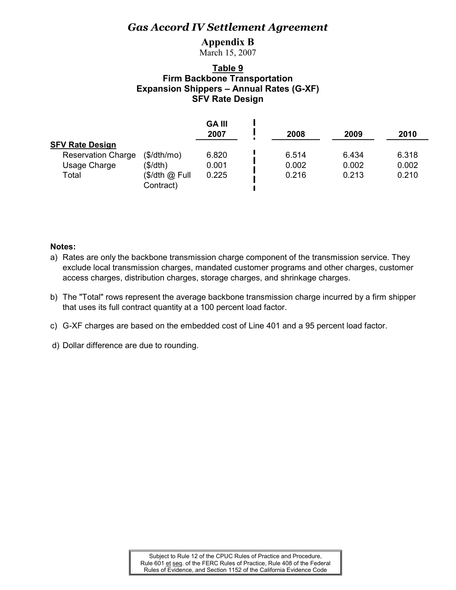### **Appendix B**

March 15, 2007

### **Table 9 Firm Backbone Transportation Expansion Shippers – Annual Rates (G-XF) SFV Rate Design**

|                           |                             | <b>GA III</b><br>2007 | 2008  | 2009  | 2010  |
|---------------------------|-----------------------------|-----------------------|-------|-------|-------|
| <b>SFV Rate Design</b>    |                             |                       |       |       |       |
| <b>Reservation Charge</b> | (\$/dth/mol)                | 6.820                 | 6.514 | 6.434 | 6.318 |
| Usage Charge              | (\$/dth)                    | 0.001                 | 0.002 | 0.002 | 0.002 |
| Total                     | (\$/dth @ Full<br>Contract) | 0.225                 | 0.216 | 0.213 | 0.210 |

- a) Rates are only the backbone transmission charge component of the transmission service. They exclude local transmission charges, mandated customer programs and other charges, customer access charges, distribution charges, storage charges, and shrinkage charges.
- b) The "Total" rows represent the average backbone transmission charge incurred by a firm shipper that uses its full contract quantity at a 100 percent load factor.
- c) G-XF charges are based on the embedded cost of Line 401 and a 95 percent load factor.
- d) Dollar difference are due to rounding.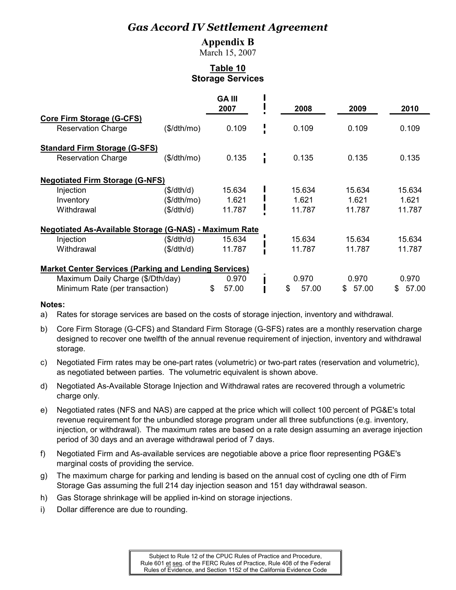### **Appendix B**

March 15, 2007

### **Table 10 Storage Services**

|                                                               |              | <b>GA III</b><br>2007 | 2008        | 2009         | 2010         |
|---------------------------------------------------------------|--------------|-----------------------|-------------|--------------|--------------|
| <b>Core Firm Storage (G-CFS)</b>                              |              |                       |             |              |              |
| <b>Reservation Charge</b>                                     | (\$/dth/mol) | 0.109                 | 0.109       | 0.109        | 0.109        |
| <b>Standard Firm Storage (G-SFS)</b>                          |              |                       |             |              |              |
| <b>Reservation Charge</b>                                     | (\$/dth/mol) | 0.135                 | 0.135       | 0.135        | 0.135        |
| <b>Negotiated Firm Storage (G-NFS)</b>                        |              |                       |             |              |              |
| Injection                                                     | (\$/dth/d)   | 15.634                | 15.634      | 15.634       | 15.634       |
| Inventory                                                     | (\$/dth/mol) | 1.621                 | 1.621       | 1.621        | 1.621        |
| Withdrawal                                                    | (\$/dth/d)   | 11.787                | 11.787      | 11.787       | 11.787       |
| <b>Negotiated As-Available Storage (G-NAS) - Maximum Rate</b> |              |                       |             |              |              |
| Injection                                                     | (\$/dth/d)   | 15.634                | 15.634      | 15.634       | 15.634       |
| Withdrawal                                                    | (\$/dth/d)   | 11.787                | 11.787      | 11.787       | 11.787       |
| <b>Market Center Services (Parking and Lending Services)</b>  |              |                       |             |              |              |
| Maximum Daily Charge (\$/Dth/day)                             |              | 0.970                 | 0.970       | 0.970        | 0.970        |
| Minimum Rate (per transaction)                                |              | 57.00<br>\$           | \$<br>57.00 | 57.00<br>\$. | 57.00<br>\$. |

### **Notes:**

a) Rates for storage services are based on the costs of storage injection, inventory and withdrawal.

- b) Core Firm Storage (G-CFS) and Standard Firm Storage (G-SFS) rates are a monthly reservation charge designed to recover one twelfth of the annual revenue requirement of injection, inventory and withdrawal storage.
- c) Negotiated Firm rates may be one-part rates (volumetric) or two-part rates (reservation and volumetric), as negotiated between parties. The volumetric equivalent is shown above.
- d) Negotiated As-Available Storage Injection and Withdrawal rates are recovered through a volumetric charge only.
- e) Negotiated rates (NFS and NAS) are capped at the price which will collect 100 percent of PG&E's total revenue requirement for the unbundled storage program under all three subfunctions (e.g. inventory, injection, or withdrawal). The maximum rates are based on a rate design assuming an average injection period of 30 days and an average withdrawal period of 7 days.
- f) Negotiated Firm and As-available services are negotiable above a price floor representing PG&E's marginal costs of providing the service.
- g) The maximum charge for parking and lending is based on the annual cost of cycling one dth of Firm Storage Gas assuming the full 214 day injection season and 151 day withdrawal season.
- h) Gas Storage shrinkage will be applied in-kind on storage injections.
- i) Dollar difference are due to rounding.

Subject to Rule 12 of the CPUC Rules of Practice and Procedure, Rule 601 et seq. of the FERC Rules of Practice, Rule 408 of the Federal Rules of Evidence, and Section 1152 of the California Evidence Code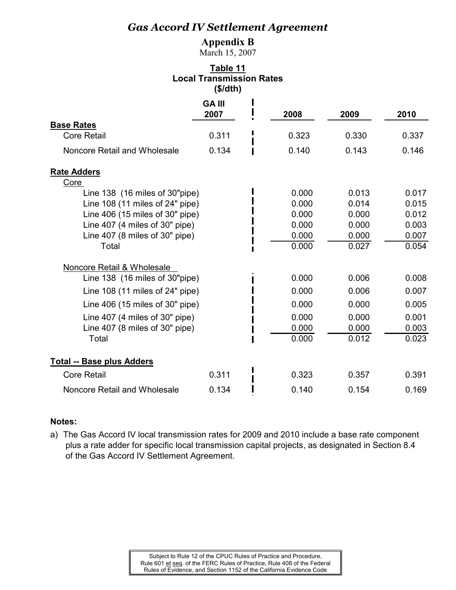### **Appendix B**

March 15, 2007

### **Table 11 Local Transmission Rates (\$/dth)**

|                                        | <b>GA III</b> |       |       |       |
|----------------------------------------|---------------|-------|-------|-------|
| <b>Base Rates</b>                      | 2007          | 2008  | 2009  | 2010  |
| <b>Core Retail</b>                     | 0.311         | 0.323 | 0.330 | 0.337 |
| Noncore Retail and Wholesale           | 0.134         | 0.140 | 0.143 | 0.146 |
| <b>Rate Adders</b>                     |               |       |       |       |
| Core<br>Line 138 (16 miles of 30"pipe) |               | 0.000 | 0.013 | 0.017 |
| Line $108$ (11 miles of 24" pipe)      |               | 0.000 | 0.014 | 0.015 |
| Line $406$ (15 miles of 30" pipe)      |               | 0.000 | 0.000 | 0.012 |
| Line $407$ (4 miles of $30"$ pipe)     |               | 0.000 | 0.000 | 0.003 |
| Line $407$ (8 miles of $30"$ pipe)     |               | 0.000 | 0.000 | 0.007 |
| Total                                  |               | 0.000 | 0.027 | 0.054 |
| Noncore Retail & Wholesale             |               |       |       |       |
| Line 138 (16 miles of 30"pipe)         |               | 0.000 | 0.006 | 0.008 |
| Line $108$ (11 miles of 24" pipe)      |               | 0.000 | 0.006 | 0.007 |
| Line $406$ (15 miles of 30" pipe)      |               | 0.000 | 0.000 | 0.005 |
| Line $407$ (4 miles of $30"$ pipe)     |               | 0.000 | 0.000 | 0.001 |
| Line $407$ (8 miles of $30"$ pipe)     |               | 0.000 | 0.000 | 0.003 |
| Total                                  |               | 0.000 | 0.012 | 0.023 |
| <b>Total -- Base plus Adders</b>       |               |       |       |       |
| <b>Core Retail</b>                     | 0.311         | 0.323 | 0.357 | 0.391 |
| Noncore Retail and Wholesale           | 0.134         | 0.140 | 0.154 | 0.169 |

### **Notes:**

a) The Gas Accord IV local transmission rates for 2009 and 2010 include a base rate component plus a rate adder for specific local transmission capital projects, as designated in Section 8.4 of the Gas Accord IV Settlement Agreement.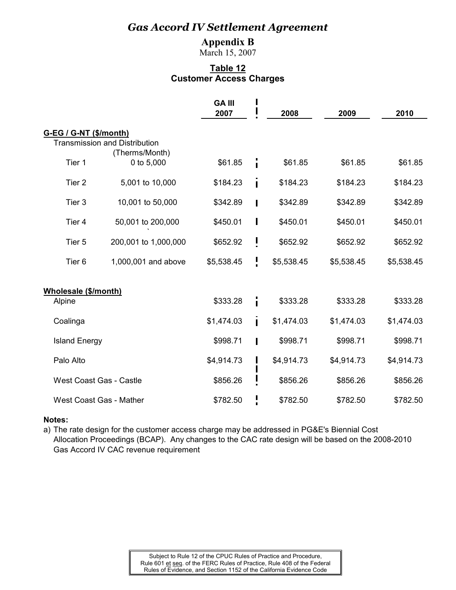### **Appendix B**

March 15, 2007

### **Table 12 Customer Access Charges**

|                        |                                      | <b>GAIII</b><br>2007 |        | 2008       | 2009       | 2010       |
|------------------------|--------------------------------------|----------------------|--------|------------|------------|------------|
| G-EG / G-NT (\$/month) |                                      |                      |        |            |            |            |
|                        | <b>Transmission and Distribution</b> |                      |        |            |            |            |
| Tier 1                 | (Therms/Month)<br>0 to 5,000         | \$61.85              |        | \$61.85    | \$61.85    | \$61.85    |
|                        |                                      |                      |        |            |            |            |
| Tier <sub>2</sub>      | 5,001 to 10,000                      | \$184.23             |        | \$184.23   | \$184.23   | \$184.23   |
| Tier <sub>3</sub>      | 10,001 to 50,000                     | \$342.89             |        | \$342.89   | \$342.89   | \$342.89   |
|                        |                                      |                      |        |            |            |            |
| Tier 4                 | 50,001 to 200,000                    | \$450.01             | П      | \$450.01   | \$450.01   | \$450.01   |
| Tier 5                 | 200,001 to 1,000,000                 | \$652.92             | L      | \$652.92   | \$652.92   | \$652.92   |
|                        |                                      |                      |        |            |            |            |
| Tier <sub>6</sub>      | 1,000,001 and above                  | \$5,538.45           | !<br>: | \$5,538.45 | \$5,538.45 | \$5,538.45 |
|                        |                                      |                      |        |            |            |            |
| Wholesale (\$/month)   |                                      |                      |        |            |            |            |
| Alpine                 |                                      | \$333.28             |        | \$333.28   | \$333.28   | \$333.28   |
| Coalinga               |                                      | \$1,474.03           | Ī.     | \$1,474.03 | \$1,474.03 | \$1,474.03 |
| <b>Island Energy</b>   |                                      | \$998.71             |        | \$998.71   | \$998.71   | \$998.71   |
| Palo Alto              |                                      | \$4,914.73           |        | \$4,914.73 | \$4,914.73 | \$4,914.73 |
|                        |                                      |                      |        |            |            |            |
|                        | <b>West Coast Gas - Castle</b>       | \$856.26             |        | \$856.26   | \$856.26   | \$856.26   |
|                        | <b>West Coast Gas - Mather</b>       | \$782.50             |        | \$782.50   | \$782.50   | \$782.50   |

### **Notes:**

a) The rate design for the customer access charge may be addressed in PG&E's Biennial Cost Allocation Proceedings (BCAP). Any changes to the CAC rate design will be based on the 2008-2010 Gas Accord IV CAC revenue requirement